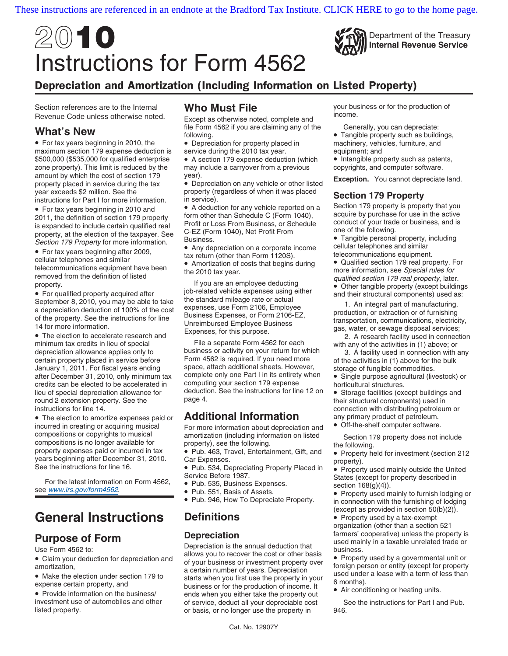[These instructions are referenced in an endnote at the Bradford Tax Institute. CLICK HERE to go to the home page.](http://bradfordtaxinstitute.com/index1.aspx)





## Depreciation and Amortization (Including Information on Listed Property)

Section references are to the Internal **Who Must File** your business or for the production of Revenue Code unless otherwise noted Revenue Code unless otherwise noted. Except as otherwise noted, complete and

• For tax years beginning in 2010, the maximum section 179 expense deduction is service during the 2010 tax year. equipment; and equipment; and \$500,000 (\$535,000 for qualified enterprise  $\bullet$  A section 179 expense deduction (which  $\bullet$  Intangible property such  $$500,000$  ( $$535,000$  for qualified enterprise zone property). This limit is reduced by the may include a carryover from a previous copyrights, and computer software. amount by which the cost of section 179 year).<br>
property placed in service during the tax • Depreciation on any vehicle or other listed<br>
year exceeds \$2 million. See the property (regardless of when it was placed<br> **Contion** 

• For tax years beginning in 2010 and **•** A deduction for any vehicle reported on a Section 179 property is property that you • For tax years beginning in 2010 and<br>
2011, the definition of section 179 property<br>
is expanded to include certain qualified real<br>
is expanded to include certain qualified real<br>
Profit or Loss From Business, or Schedule<br>

For tax years beginning after 2009, the state telecommunications equipment.<br>
cellular telephones and similar **•** Amortization of costs that begins during • Qualified section 179 real property. For<br>
telecommunications equip

The mote incritation.<br>
• The election to accelerate research and Expenses, for this purpose.<br>
2. A research facility used in connection<br>
minimum tax credits in lieu of special<br>
<sup>2.</sup> The election to accelerate research and lieu of special depreciation allowance for deduction. See the instructions for line 12 on • Storage facilities (except buildings and round 2 extension property. See the page 4. their structural components) used in connecti

incurred in creating or acquiring musical For more information about depreciation and<br>compositions or copyrights to musical amortization (including information on listed compositions or copyrights to musical amortization (including information on listed Section 179 property does not include compositions is no longer available for property), see the following.<br>
property expenses paid or inc Property held for investment (section 212 years beginning after December 31, 2010. Car Expenses. property). See the instructions for line 16. •

Pub. 535, Business Expenses.<br>see www.irs.gov/form4562. • Pub. 551, Basis of Assets.

## **General Instructions Definitions CENUTE:** Property used by a tax-exempt

- 
- 
- 

**What's New Example 3 and Section** the General Superally, you can depreciate:<br>
• Tangible property such as buildings,

year exceeds \$2 million. See the property (regardless of when it was placed<br>
instructions for Part I for more information. in service).<br>
• A deduction for any vehicle reported on a Section 179 property is property that you

If you are an employee deducting  $\begin{array}{c} \bullet \\ \bullet \end{array}$ For qualified property acquired after interest in the standard mileage rate or actual<br>September 8, 2010, you may be able to take the standard mileage rate or actual • For qualified property acquired after<br>
September 8, 2010, you may be able to take<br>
a depreciation deduction of 100% of the cost<br>
of the property. See the instructions for line<br>
14 for more information.<br>
The election to a

minimum tax credits in lieu of special File a separate Form 4562 for each with any of the activities in (1) above; or<br>depreciation allowance applies only to business or activity on your return for which 3. A facility used business or activity on your return for which<br>Form 4562 is required. If you need more certain property placed in service before Form 4562 is required. If you need more of the activities in (1) above for the bulk<br>January 1, 2011. For fiscal vears ending space, attach additional sheets. However, storage of fu January 1, 2011. For fiscal years ending space, attach additional sheets. However, storage of fungible commodities.<br>after December 31, 2010, only minimum tax complete only one Part I in its entirety when single purpose agr after December 31, 2010, only minimum tax complete only one Part I in its entirety when  $\bullet$  Single purpose agricultural (livestock) or credits can be elected to be accelerated in computing your section 179 expense credits can be elected to be accelerated in computing your section 179 expense horticultural structures.<br>lieu of special depreciation allowance for deduction. See the instructions for line 12 on storage facilities (ex

## • The election to amortize expenses paid or **Additional Information** any primary product of petroleum.

• Pub. 534, Depreciating Property Placed in

- 
- Pub. 551, Basis of Assets.
- Pub. 946, How To Depreciate Property.

• Claim your deduction for depreciation and<br>
• Claim your deduction for depreciation and<br>
• Make the election under section 179 to<br>
• Make the election under section 179 to<br>
• Make the election under section 179 to<br>
• Make Make the election under section 179 to<br>expense certain property, and business or for the production of income. It<br>ends when you either take the property out<br>ends when you either take the property out • Provide information on the business/<br>investment use of automobiles and other ends when you either take the property out investment use of automobiles and other of service, deduct all your depreciable cost See the instructions for Part I and Pub.<br>Iisted property.<br>Iisted property. or basis, or no longer use the property in

• Depreciation for property placed in exame machinery, vehicles, furniture, and service during the 2010 tax year.

Any depreciation on a corporate income<br>
• For tax years beginning after 2009,<br>
• For tax years beginning after 2009,<br>
tax return (other than Form 1120S) elecommunications equipment.

Telecommunications equipment nave been<br>
the 2010 tax year.<br>
If you are an employee deducting<br>
If you are an employee deducting<br>
If you are an employee deducting<br> **Example Section 179 real property**, later.<br>
Other tangible

**instruction and information**<br>Additional Information any primary product of petroleum.

• Off-the-shelf computer software.

Property described in Service Before 1987.<br>
Pub. 535, Business Expenses. States (except for property described in Section 168(g)(4)).

 Property used mainly to furnish lodging or in connection with the furnishing of lodging (except as provided in section  $50(b)(2)$ ).

organization (other than a section 521 **Purpose of Form**<br>Use Form 4562 to:<br>• Claim your deduction for depreciation and<br>• Claim your deduction for depreciation and<br>• Claim your deduction for depreciation and<br>• Property used by a governmental unit or

• Air conditioning or heating units.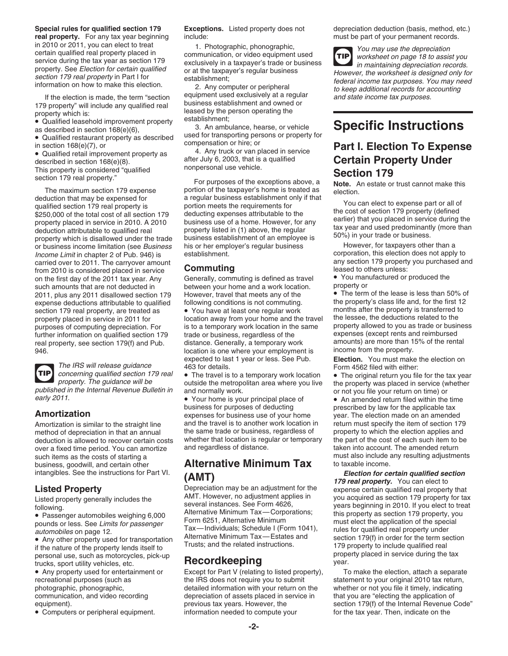**real property.** For any tax year beginning include: must be part of your permanent records.

Qualified leasehold improvement property

 Qualified retail improvement property as described in section 168(e)(8). after July 6, 2003, that is a qualified<br>This property is considered "qualified nonpersonal use vehicle.<br>Section 179 real property." For purposes of the exceptions above, a Note. An estate or

deduction that may be expensed for<br>qualified section 179 real property is portion meets the requirements for<br>\$250,000 of the total cost of all section 179<br>property placed in service in 2010. A 2010 business use of a home. or business income limitation (see Business his or her employer's regular business However, for taxpayers other than a<br>
Income I imit in chapter 2 of Pub. 946) is establishment. Come Corporation, this election does not app carried over to 2011. The carryover amount carried over to 2011. The carryover amount<br>
from 2010 is considered placed in service **Commuting** Commuting any section 179 property from 2010 is considered placed in service<br> **Commuting** is defined as travel **Commuting**<br> **Commuting** is defined as travel **Commuting**<br> **Commuting** is defined as travel **Commuting** on the first day of the 2011 tax year. Any Generally, commuting is defined as travel • You man such amounts that are not deducted in between your home and a work location. property or such amounts that are not deducted in between your home and a work location. property or<br>2011 plus any 2011 disallowed section 179 However, travel that meets any of the **Filter Constant Constant** of the lease is less than 2011, plus any 2011 disallowed section 179 However, travel that meets any of the • The term of the lease is less than 50% of expense deductions attributable to qualified following conditions is not commuting. expense deductions attributable to qualified following conditions is not commuting. The property's class life and, for the first 12<br>section 179 real property, are treated as  $\bullet$  You have at least one regular work months a



The IRS will release guidance 463 for details.<br>Concerning qualified section 179 real • The travel is to a temporary work location • The original return you fil

published in the Internal Revenue Bulletin in and normally work.<br>early 2011. • Your home is your principal place of • An amended return filed within the time

method of depreciation in that an annual the same trade or business, regardless of property to which the election applies and<br>deduction is allowed to recover certain costs whether that location is regular or temporary the deduction is allowed to recover certain costs over a fixed time period. You can amortize and regardless of distance. taken into account. The amended return such items as the costs of starting a must also include any resulting adjustments<br>business, goodwill, and certain other **Alternative Minimum Tax** to taxable income. business, goodwill, and certain other **Alternative Minimum Tax** intangibles. See the instructions for Part VI.

• Any other property used for transportation<br>
if the nature of the property lends itself to<br>
personal use, such as motorcycles, pick-up<br>
trucks, sport utility vehicles, etc.<br>
Trusts; and the related instructions.<br> **Record** 

in 2010 or 2011, you can elect to treat the set of the set of the communication, or video equipment used<br>service during the tax year as section 179 exclusively in a taxpayer's trade or business **TIP** worksheet on page 18 t

property. See *Election for certain qualified* or at the taxpayer's regular business<br>section 179 real property in Part I for establishment;<br>information on how to make this election. 2. Any computer or peripheral<br>informatio

• Qualified leasehold improvement property establishment;<br>as described in section 168(e)(6), 3. An ambulance, hearse, or vehicle **Specific Instructions**<br>● Qualified restaurant property as described used for transporting p

The maximum section 179 expense portion of the taxpayer's home is treated as election.<br>duction that may be expensed for a regular business establishment only if that

section 179 real property, are treated as  $\bullet$  You have at least one regular work months after the property is transferred to the property is transferred to the property is transferred to the content of the lessee, the ded property placed in service in 2011 for location away from your home and the travel the lessee, the deductions related to the<br>purposes of computing depreciation For is to a temporary work location in the same property allow purposes of computing depreciation. For is to a temporary work location in the same property allowed to you as trade or business<br>further information on qualified section 179 trade or business, regardless of the expenses (e further information on qualified section 179 trade or business, regardless of the expenses (except rents and reimbursed<br>
real property see section 179(f) and Pub distance. Generally, a temporary work amounts) are more than real property, see section 179(f) and Pub. distance. Generally, a temporary work amounts) are more than 1<br>location is one where your employment is income from the property.<br>expected to last 1 year or less. See Pub. **Electi** 

business for purposes of deducting prescribed by law for the applicable tax **Amortization**<br>Amortization is similar to the straight line and the travel is to another work location in return must specify the item of section 17 Amortization is similar to the straight line and the travel is to another work location in return must specify the item of section 179<br>method of depreciation in that an annual the same trade or business, regardless of prop

• Passenger automobiles weighing 6,000<br>
pounds or less. See Limits for passenger<br>
automobiles on page 12.<br>
automobiles on page 12.<br>
Tax—Individuals; Schedule I (Form 1041),<br>
Alternative Minimum Tax—Estates and<br>
Alternative

• Any property used for entertainment or Except for Part V (relating to listed property), To make the election, attach a separate recreational purposes (such as the IRS does not require you to submit statement to your original 2010 tax return, photographic, phonographic, detailed information with your return on the whether or not you file it timely, indicating communication, and video recording depreciation of assets placed in service in that you are "electing the application of • Computers or peripheral equipment. information needed to compute your for the tax year. Then, indicate on the

**Special rules for qualified section 179 Exceptions.** Listed property does not depreciation deduction (basis, method, etc.)

**TIP**

# In section 168(e)(7), or in section 168(e)(7), or compensation or hire; or<br>
• Qualified retail improvement property as 4. Any truck or van placed in service described in section 168(e)(8).<br>
Any truck or van placed in servi

Income Limit in chapter 2 of Pub. 946) is establishment.<br>Carried over to 2011. The carryover amount and the corporation of the corporation, this election does not apply to

**Election.** You must make the election on

concerning qualified section 179 real • The travel is to a temporary work location • The original return you file for the tax year property. The guidance will be contained by a property. The guidance will be contained the

intangibles. See the instructions for Part VI. *Election for certain qualified section* **(AMT)** *179 real property.* You can elect to Depreciation may be an adjustment for the expense certain qualified real property that<br>AMT. However, no adjustment applies in expensional as section 179 property for tax Listed property generally includes the Fall of AMT. However, no adjustment applies in Franciscular order to the<br>Following. The several instances. See Form 4626, Francisc beginning in 2010. If you elect to treat<br>Fassenger

equipment). example of the section 179(f) of the Internal Revenue Code" previous tax years. However, the section 179(f) of the Internal Revenue Code"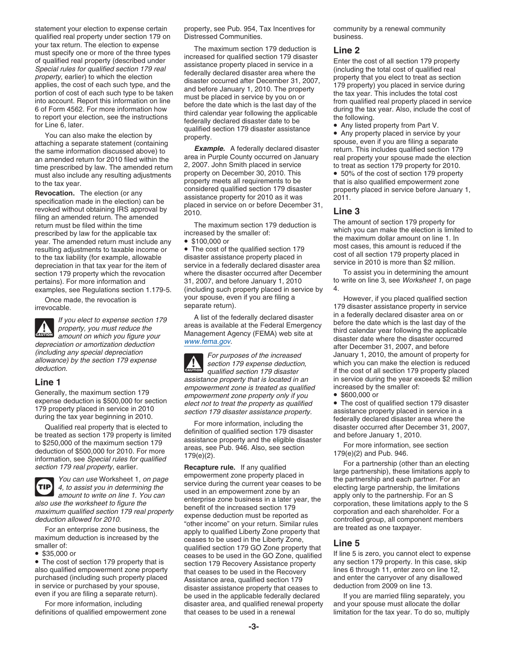qualified real property under section 179 on Distressed Communities. business. your tax return. The election to expense you tax fear the effection to experise<br>must specify one or more of the three types<br>increased for qualified section 179 disaster

attaching a separate statement (containing<br>the same information discussed above) to *Example.* A federally declared disaster return. This includes qualified section 179<br>an amended return for 2010 filed within the area in P an amended return for 2010 filed within the area in Purple County occurred on January real property your spouse made the election<br>time prescribed by law. The amended return 2, 2007. John Smith placed in service to treat as time prescribed by law. The amended return 2, 2007. John Smith placed in service to treat as section 179 property for 2010.<br>must also include any resulting adjustments property on December 30, 2010. This • 50% of the cost must also include any resulting adjustments property on December 30, 2010. This • 50% or the cost of the cost of the cost of the cost of the cost of the cost of the cost of the cost of the cost of the cost of the cost of t

Filing an amended return. The amended<br>
return must be filed within the time<br>
prescribed by law for the applicable tax<br>
year. The amended return must include any<br>
year. The amended return must include any<br>
year. The amended pertains). For more information and 31, 2007, and before January 1, 2010



**Line 1**<br>
Senerally, the maximum section 179<br>
ensignation 179<br>
ensignation in section and the property and the property only if you<br>
ensignated as qualified<br>
the property as qualified<br>
The cost of qualified section 179 dis



**TIP** 4, to assist you in determining the

• \$35,000 or

• The cost of section 179 property that is

statement your election to expense certain property, see Pub. 954, Tax Incentives for community by a renewal community

and qualified real property of eaction 179 distance of qualified real property (described under<br>
of qualified real property, earlier) to which the election<br>
applies, the cost of each such type, and the<br>
applies, the cost o

to the tax year.<br>
to the tax year.<br> **Payaestion** The clostics (or any considered qualified section 179 disaster property placed in service before January 1, **Revocation.** The election (or any considered qualified section 179 disaster property placed in service before January 1,<br>specification made in the election) can be assistance property for 2010 as it was 2011.<br>revoked with

section 179 property which the revocation where the disaster occurred after December To assist you in determining the amount<br>nertains) For more information and 31, 2007, and before January 1, 2010 to write on line 3, see W examples, see Regulations section 1.179-5. (including such property placed in service by 4. Once made, the revocation is your spouse, even if you are filing a however, if you placed qualified section<br>separate return). 179 disaster assistance property in service

If you elect to expense section 179<br>
A list of the federally declared disaster in a federally declared disaster area on or<br>
amount on which you figure your Management Agency (FEMA) web site at the state where the disaster

**!**

amount to write on line 1. You can<br>also use the worksheet to figure the<br>maximum qualified section 179 real property<br>deduction allowed for 2010.<br>For an enterprise zone business, the<br>maximum deduction is increased by the<br>max qualified section 179 GO Zone property that<br>ceases to be used in the GO Zone, qualified If line 5 is zero, you cannot elect to expense<br>section 179 Becovery Assistance property any section 179 property. In this case, skip • The cost of section 179 property that is section 179 Recovery Assistance property any section 179 property. In this case, skip that ceases to be used in the Recovery and enter the carryover of any disallowed in service o For more information, including disaster area, and qualified renewal property and your spouse must allocate the dollar definitions of qualified empowerment zone that ceases to be used in a renewal limitation for the tax year. To do so, multiply

irrevocable. separate return). 179 disaster assistance property in service all and the disaster date where the disaster occurred<br>
depreciation or amortization deduction<br>
(including any special depreciation<br>
disaster date where the disaster occurred<br>
depreciation or amortization deduction<br>
disaste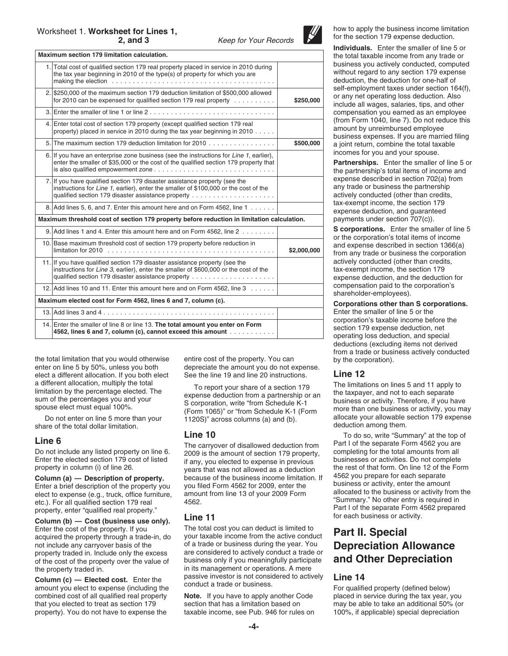

| Maximum section 179 limitation calculation.                                                                                                                                    | the total taxable income from any trade      |                                                                                                                                                                        |
|--------------------------------------------------------------------------------------------------------------------------------------------------------------------------------|----------------------------------------------|------------------------------------------------------------------------------------------------------------------------------------------------------------------------|
| 1. Total cost of qualified section 179 real property placed in service in 2010 during<br>the tax year beginning in 2010 of the type(s) of property for which you are           |                                              | business you actively conducted, comp<br>without regard to any section 179 exper<br>deduction, the deduction for one-half of<br>self-employment taxes under section 16 |
| 2. \$250,000 of the maximum section 179 deduction limitation of \$500,000 allowed<br>for 2010 can be expensed for qualified section 179 real property $\ldots \ldots \ldots$   | \$250,000                                    | or any net operating loss deduction. Als<br>include all wages, salaries, tips, and oth                                                                                 |
|                                                                                                                                                                                |                                              | compensation you earned as an employ                                                                                                                                   |
| 4. Enter total cost of section 179 property (except qualified section 179 real<br>property) placed in service in 2010 during the tax year beginning in 2010                    |                                              | (from Form 1040, line 7). Do not reduce<br>amount by unreimbursed employee<br>business expenses. If you are married f                                                  |
|                                                                                                                                                                                | \$500,000                                    | a joint return, combine the total taxable                                                                                                                              |
| 6. If you have an enterprise zone business (see the instructions for Line 1, earlier),<br>enter the smaller of \$35,000 or the cost of the qualified section 179 property that |                                              | incomes for you and your spouse.<br><b>Partnerships.</b> Enter the smaller of line<br>the partnership's total items of income a                                        |
| 7. If you have qualified section 179 disaster assistance property (see the<br>instructions for Line 1, earlier), enter the smaller of \$100,000 or the cost of the             |                                              | expense described in section 702(a) fro<br>any trade or business the partnership<br>actively conducted (other than credits,                                            |
| 8. Add lines 5, 6, and 7. Enter this amount here and on Form 4562, line 1 $\dots$                                                                                              |                                              | tax-exempt income, the section 179<br>expense deduction, and quaranteed                                                                                                |
| Maximum threshold cost of section 179 property before reduction in limitation calculation.                                                                                     |                                              | payments under section 707(c)).                                                                                                                                        |
| 9. Add lines 1 and 4. Enter this amount here and on Form 4562, line $2 \ldots \ldots$                                                                                          |                                              | S corporations. Enter the smaller of li<br>or the corporation's total items of incom                                                                                   |
| 10. Base maximum threshold cost of section 179 property before reduction in                                                                                                    | \$2,000,000                                  | and expense described in section 1366<br>from any trade or business the corporat                                                                                       |
| 11. If you have qualified section 179 disaster assistance property (see the<br>instructions for Line 3, earlier), enter the smaller of \$600,000 or the cost of the            |                                              | actively conducted (other than credits,<br>tax-exempt income, the section 179<br>expense deduction, and the deduction f                                                |
| 12. Add lines 10 and 11. Enter this amount here and on Form 4562, line 3                                                                                                       |                                              | compensation paid to the corporation's<br>shareholder-employees).                                                                                                      |
| Maximum elected cost for Form 4562, lines 6 and 7, column (c).                                                                                                                 | <b>Corporations other than S corporation</b> |                                                                                                                                                                        |
|                                                                                                                                                                                |                                              | Enter the smaller of line 5 or the                                                                                                                                     |
| 14. Enter the smaller of line 8 or line 13. The total amount you enter on Form<br>4562, lines 6 and 7, column (c), cannot exceed this amount                                   |                                              | corporation's taxable income before the<br>section 179 expense deduction, net<br>operating loss deduction, and special                                                 |

the total limitation that you would otherwise entire cost of the property. You can by the corporation).<br>
enter on line 5 by 50%, unless you both depreciate the amount you do not expense. elect a different allocation. If you both elect See the line 19 and line 20 instructions. **Line 12**

share of the total dollar limitation.

Enter a brief description of the property you you filed Form 4562 for 2009, enter the business or activity, enter the amount<br>elect to expense (e.g., truck, office furniture, amount from line 13 of your 2009 Form allocated

**Column (b) — Cost (business use only).** Figure 11<br>Enter the cost of the property. If you Fine total cost you can deduct is limited to the property traded in. **in its management or operations.** A mere

amount you elect to expense (including the Formuct a trade or business. For qualified property (defined below) combined cost of all qualified real property **Note.** If you have to apply another Code placed in service during the tax year, you that you elected to treat as section 179 section that has a limitation based on may be able to take an additional 50% (or property). You do not have to expense the taxable income, see Pub. 946 for rules on 100%, if applicable) special depreciation

depreciate the amount you do not expense.

Do not include any listed property on line 6. 2009 is the amount of section 179 property, completing for the total amounts from all Enter the elected section 179 cost of listed if any, you elected to expense in previous pr

Enter the cost of the property. If you **The total cost you can deduct is limited to**<br>acquired the property through a trade-in, do your taxable income from the active conduct **Part II. Special**<br>not include any carryover bas not include any carryover basis of the of a trade or business during the year. You **Depreciation Allowance**<br>property traded in. Include only the excess are considered to actively conduct a trade or<br>of the cost of the prope of the cost of the property over the value of business only if you meaningfully participate **Column (c) — Elected cost.** Enter the passive investor is not considered to actively **Line 14**<br>conduct a trade or business.

for the section 179 expense deduction.

**Individuals.** Enter the smaller of line 5 or the total taxable income from any trade or business you actively conducted, computed without regard to any section 179 expense deduction, the deduction for one-half of self-employment taxes under section 164(f),<br>or any net operating loss deduction. Also<br>include all wages, salaries, tips, and other compensation you earned as an employee (from Form 1040, line 7). Do not reduce this<br>amount by unreimbursed employee<br>business expenses. If you are married filing a joint return, combine the total taxable incomes for you and your spouse.

Partnerships. Enter the smaller of line 5 or the partnership's total items of income and expense described in section 702(a) from any trade or business the partnership actively conducted (other than credits, tax-exempt income, the section 179 expense deduction, and guaranteed payments under section 707(c)).

**S** corporations. Enter the smaller of line 5 or the corporation's total items of income and expense described in section 1366(a)<br>from any trade or business the corporation actively conducted (other than credits, tax-exempt income, the section 179 expense deduction, and the deduction for compensation paid to the corporation's shareholder-employees).

### **Corporations other than S corporations.**

Enter the smaller of line 5 or the deductions (excluding items not derived from a trade or business actively conducted

a different allocation, multiply the total<br>
limitation by the percentage elected. The<br>
sum of the percentages you and your<br>
spouse elect must equal 100%.<br>
Sorporation, write "from Schedule K-1<br>
(Form 1065)" or "from Schedu Do not enter on line 5 more than your allocate your allocate your allowable section 179 expense<br>The total dollar limitation.<br>The section and the deduction among them.

**Line 10** To do so, write "Summary" at the top of<br>The carryover of disallowed deduction from Part I of the separate Form 4562 you are<br>Do not include any listed property on line 6. 2009 is the amount of section 179 property etc.). For all qualified section 179 real 4562.<br>
property, enter "qualified real property."<br> **Column (b)** Cost (business use only)<br> **Line 11** Column (b) Cost (business use only)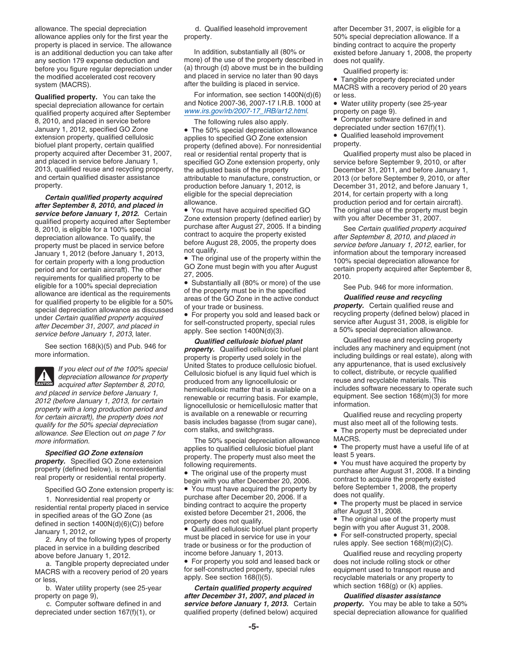allowance. The special depreciation d. Qualified leasehold improvement after December 31, 2007, is eligible for a allowance applies only for the first year the property. 50% special depreciation allowance. If a property is placed in service. The allowance<br>is an additional deduction you can take after landdition, substantially all (80% or existed before January 1, 2008, the property is an additional deduction you can take after ln addition, substantially all (80% or existed before January 1, 2008, the property any section 179 expense deduction and more) of the use of the property described in does not qualify.<br>hefore you figure requilar depreciation under (a) through (d) above must be in the building before you figure regular depreciation under (a) through (d) above must be in the building Qualified property is:<br>the modified accelerated cost recovery and placed in service no later than 90 days • Tangible property depre

special depreciation allowance for certain and Notice 2007-36, 2007-17 I.R.B. 1000 at • Water utility property<br>qualified property acquired after September *www.irs.gov/irb/2007-17\_IRB/ar12.html.* property on page 9). qualified property acquired after September www.irs.gov/irb/2007-17\_IRB/ar12.html. property on page 9).<br>8. 2010, and placed in service before The following rules also apply Computer software defined in and 8, 2010, and placed in service before **• The following rules also apply.**<br>January 1, 2012, specified GO Zone • The 50% special depreciation allowance depreciated under section 167(f)(1). extension property, qualified cellulosic applies to specified GO Zone extension <br>biofuel plant property, certain qualified property (defined above). For nonresidential property. biofuel plant property, certain qualified property (defined above). For nonresidential property acquired after December 31, 2007, real or residential rental property that is and placed in service before January 1, specified GO Zone extension property, only service before September 9, 2010, or after 2013, qualified reuse and recycling property, the adjusted basis of the property December 31, 2011, and before January 1, and certain qualified disaster assistance attributable to manufacture, construction, or 2013 (or before September 9, 2010, or after<br>1. property. property. In the fore January 1. 2012. Is December 31, 2012, and before Janua

service before January 1, 2012. Certain<br>qualified property acquired after September<br>8, 2010, is eligible for a 100% special purchase after August 27, 2005. If a binding<br>8, 2010, is eligible for a 100% special purchase afte 8, 2010, is eligible for a 100% special<br>
depreciation allowance. To qualify, the contract to acquire the property existed<br>
property must be placed in service before August 28, 2005. The property does<br>
January 1, 2012 (befo For certain property with a long production<br>period and for certain aircraft). The other<br>requirements for qualified property to be the Substantially all (80% or more) of the use 2010. eligible for a 100% special depreciation be substantially all (80% or more) of the use<br>allowance are identical as the requirements of the property must be in the specified<br>for qualified reuse and recycling<br>special deprecia special depreciation allowance as discussed<br>
under Certain qualified property acquired<br>
after December 31, 2007, and placed in<br>
service before January 1, 2013, later. apply. See section 1400N(d)(3).<br>
service before January

**!** and placed in service before January 1, and placed in service before  $\mu$  and placed in service before  $\mu$  and placed in service before  $\mu$  and placed in service before  $\mu$  and  $\mu$  and  $\mu$  and  $\mu$  and  $\mu$  and  $\mu$  a

## *property.* Specified GO Zone extension •

1. Nonresidential real property or<br>
residential rental property placed in service<br>
in specified areas of the GO Zone (as<br>
defined in section 1400N(d)(6)(C)) before<br>  $\frac{1}{2}$  before the property does not qualify.<br>  $\frac{1}{2}$ 

MACRS with a recovery period of 20 years for self-constructed property, special rules equipment used to transport reuse and<br>or less exection 168(I)(5). The section of the section of the section 168(I)(5).

Qualified property. You can take the For information, see section 1400N(d)(6) or less.<br>special depreciation allowance for certain and Notice 2007-36, 2007-17 I.R.B. 1000 at • Water utility property (see 25-year

• The 50% special depreciation allowance depreciated under section 167(f)(1).<br>• Qualified leasehold improvement real or residential rental property that is **Qualified property must also be placed in** production before January 1, 2012, is December 31, 2012, and before January 1,

If you elect out of the 100% special<br>
depreciation allowance for property<br>
acquired after September 8, 2010,<br>
leavies bottle is any liquid fuel which is<br>
acquired after September 8, 2010,<br>
beginning the state is explicitly

more information.<br>more information. The 50% special depreciation allowance MACRS.<br>annies to qualified cellulosic biofuel plant • The property must have a useful life of at applies to qualified cellulosic biofuel plant • The property must have a useful life of a<br>**precified GO Zone extension** by property. The property must also meet the least 5 years.<br>• You must have acquired the property by

Specified GO Zone extension property is: • You must have acquired the property by before September 1, 2008, the property

• Qualified cellulosic biofuel plant property January 1, 2012, or<br>
2. Any of the following types of property<br>
placed in service in a building described<br>
above before January 1, 2012.<br>
above before January 1, 2012.

or less, apply. See section 168(i)(5).<br>b. Water utility property (see 25-year **Certain qualified property acquired** which section 168(g) or (k) applies.<br>**after December 31, 2007, and placed in Qualified disaster assistance** property on page 9), *after December 31, 2007, and placed in* 

system (MACRS). after the building is placed in service. MACRS with a recovery period of 20 years<br> **Qualified property.** You can take the For information, see section 1400N(d)(6) or less.

- 
- 
- 
- 

**Certain qualified property acquired** eligible for the special depreciation 2014, for certain property with a long allowance.<br>**after September 8, 2010, and placed in** allowance.<br>**after September 8, 2010, and placed in** • Y

**Qualified cellulosic biofuel plant** Qualified reuse and recycling property<br>See section 168(k)(5) and Pub. 946 for **property.** Qualified cellulosic biofuel plant includes any machinery and equipment (not<br>more information.

property (defined below), is nonresidential  $\bullet$  The original use of the property must purchase after August 31, 2008. If a binding The original use of the property must purchase and property must purchase and property or residential rental property.<br>Specified GO Zone extension property is:  $\bullet$  You must have acquired the property by before September 1

above before January 1, 2012.<br>a. Tangible property depreciated under<br>MACRS with a recovery period of 20 years for self-constructed property, special rules equipment used to transport reuse and

c. Computer software defined in and *service before January 1, 2013.* Certain *property.* You may be able to take a 50% depreciated under section 167(f)(1), or qualified property (defined below) acquired special depreciation allowance for qualified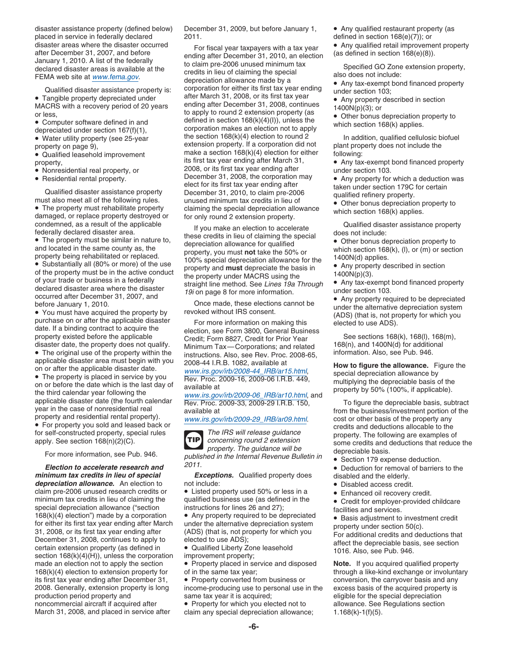placed in service in federally declared 2011. 2011. The section 168(e)(7)); or disaster areas where the disaster occurred<br>
For fiscal year taxpayers with a tax year
Formal tax year
Formal tax year
Formal tax year
Formal tax year
Formal tax year
Formal tax year
Formal tax year
Formal tax year
Tormal t

- 
- 
- Water utility property (see 25-year

• Substantially all (80% or more) of the use • Substantially all (80% of more) of the use and **property and must** depreciate the basis in the property must be in the active conduct the property under MACRS using the thousand the property under MACRS using the disast

• You must have acquired the property by revoked without IRS consent. (ADS) (that is, not property for which you<br>purchase on or after the applicable disaster For more information on making this (ADS) (that is, not property

• The original use of the property within the

• The property is placed in service by you  $\frac{1}{2009}$ -D6 I.R.B. 449,<br>
the third calendar year following the last day of available at<br>
the third calendar year following the last day of available at<br>
applicable disaster d • For property you sold and leased back or property and residential rental property).<br>
For property you sold and leased back or credits and deductions allocable to the<br>
for self-constructed property, special rules<br>
The IRS will release guidance<br>
The IRS will releas

Election to accelerate research and <sup>2011.</sup> **minimum tax credits in lieu of special** *Exceptions.* **Qualified property does disabled and the elderly.<br><b>depreciation allowance.** An election to not include: **and include: a** Disabled access credi **depreciation allowance.** An election to end include: **• include:** • Disabled access credit. claim pre-2006 unused research credits or • Listed property used 50% or less in a • • Enhanced oil recovery credit. minimum tax credits in lieu of claiming the qualified business use (as defined in the • Credit for employer-provided childcare special depreciation allowance ("section instructions for lines 26 and 27); facilities and services.<br>168(k)(4) election") made by a corporation • Any property required to be depreciated • Basis adjustment to Fraction 1998 (Net alternative depreciation system<br>
Tool (Net its first tax year ending after March under the alternative depreciation system<br>
31, 2008, or its first tax year ending after (ADS) (that is, not property for w made an election not to apply the section • Property placed in service and disposed **Note.** If you acquired qualified property 168(k)(4) election to extension property for of in the same tax year; entity business or through a like-kind exchange or involuntary its first tax year ending after December 31,  $\bullet$  Property converted from business or con noncommercial aircraft if acquired after • Property for which you elected not to allowance. See Regulations section March 31, 2008, and placed in service after claim any special depreciation allowance;  $1.168(k)-1(f)(5)$ .

disaster assistance property (defined below) December 31, 2009, but before January 1, • Any qualified restaurant property (as

disaster areas where the disaster occurred<br>
after December 31, 2007, and before ending after December 31, 2010, an election  $\frac{1}{1}$  and  $\frac{1}{2}$  and  $\frac{1}{2}$  and  $\frac{1}{2}$  and  $\frac{1}{2}$  and  $\frac{1}{2}$  and  $\frac{1}{2}$  and Qualified disaster assistance property is: corporation for either its first tax year ending<br>
• Tangible property depreciated under<br>
• Any property described in section<br>
• Any property described in section MACRS with a recovery period of 20 years ending after December 31, 2008, continues to apply to round 2 extension property (as or less,  $\bullet$  Other bonus depreciation property to  $\bullet$  Other bonus depreciation property to • Computer software defined in and<br>• Computer software defined in and<br>• Computer software defined in and<br>• Computer software defined in and<br>• Computer software defined in and<br>• Computer software defined in and<br>• Computer depreciated under section 167(f)(1), corporation makes an election not to apply which section 169(k) applies.<br>• Water utility property (see 25-year the section 168(k)(4) election to round 2 In addition, qualified cellulosi the section  $168(k)(4)$  election to round 2 In addition, qualified cellulosic b extension property. If a corporation did not plant property does not include the property on page 9), extension property. If a corporation did not property on page 9), make a section  $168(k)(4)$  election for either • Qualified leasehold improvement make a section 168(K)(4) election for either following:<br>Froperty ● Any tax is first tax year ending after March 31, property,<br>• Nonresidential real property, or and the same and after March 31, and the Any tax-exempt bond financed property<br>• Nonresidential real property, or and the 2008, or its first tax year ending after and the under • Nonresidential real property, or 2008, or its first tax year ending after under section 103. • Residential rental property. December 31, 2008, the corporation may • Residential rental property.<br>
Qualified disaster assistance property<br>
must also meet all of the following rules.<br>
Must also meet all of the following rules.<br>
The cember 31, 2010, to claim pre-2006<br>
must also meet all of must also meet all of the following rules.<br>
• The property must rehabilitate property<br>
• The property must rehabilitate property<br>
• Cher bonus depreciation property to<br>
• Which section 168(k) applies. • The property must rehabilitate property claiming the special depreciation allowance damaged, or replace property destroyed or for only round 2 extension property.

condemned, as a result of the applicable and if you make an election to accelerate include:<br>
• The property must be similar in nature to, these credits in lieu of claiming the special does not include:<br>
• Other bonus depre and located in the same county as, the<br>
property, you must **not** take the 50% or<br>
• Substantially all (80% or more) of the use<br>
of the precise in the origin of the section<br>
of the precise in the origin of the county and **m** 

property existed before the applicable<br>disaster date, the property does not qualify.<br>The original use of the property within the instructions. Also, see Bey, Proc. 2008-65 information. Also, see Pub. 946. • The original use of the property within the instructions. Also, see Rev. Proc. 2008-65, information. Also, see Pub. 946.<br>applicable disaster area must begin with you  $\frac{2008-44 \text{ I.R.B. 1082}}{2008-44 \text{ I.R.B. 1082}}$  availa



property. The guidance will be

For more information, see Pub. 946.<br>For more information, see Pub. 946. published in the Internal Revenue Bulletin in • Section 179 expense deduction.

• Any property required to be depreciated • Basis adjustment to investment credit

• Property converted from business or conversion, the carryover basis and any 2008. Generally, extension property is long income-producing use to personal use in the excess basis of the acquired property is production period property and same tax year it is acquired; eligible for the special depreciation

• Any tax-exempt bond financed property

COLLECT TO DEPT TO DET DESCRIPTION.<br>
SIGN PROPERTY REGISTION CONFIDENTIAL CONSTRUCTED ANY PROPERTY PEQUITED to be depreciated<br>
■ You must have acquired the property by revoked without IRS consent.<br>
■ You must have acquire

for self-constructed property, special rules The IRS will release guidance property. The following are examples of apply. See section 168(n)(2)(C).

- 
- Deduction for removal of barriers to the
- 
- 
-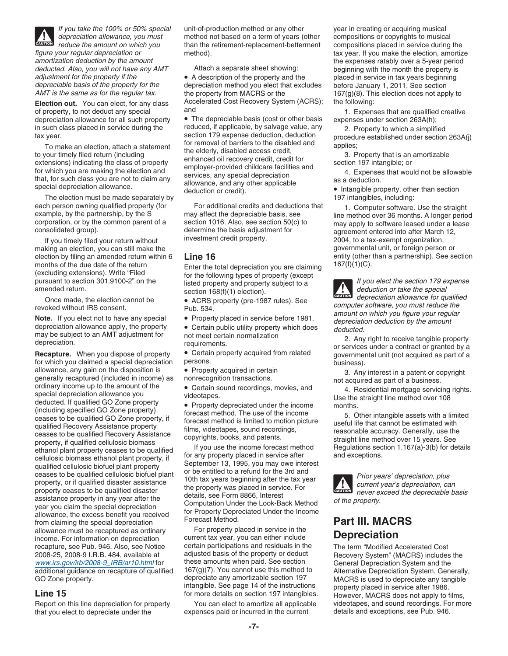

reduce the amount on which you

of property, to not deduct any special and  $1.$  Expenses that are qualified creative

making an election, you can still make the governmental unit, or foreign person or

for which you claimed a special depreciation persons.<br>allowance, any gain on the disposition is  $\bullet$  Property acquired in certain and the substitution of a Any allowance, any gain on the disposition is **Configured** in certain and the critic of the same of the or copyright<br>generally recaptured (included in income) as nonrecognition transactions.<br>ordinary income up to the amount of ordinary income up to the amount of the vertain sound recordings, movies, and videotapes.<br>special depreciation allowance you videotapes. videotapes.<br>deducted. If qualified GO Zone property verty depreciated under the incom dincluding specified GO Zone property)<br>
(including specified GO Zone property) forecast method. The use of the income<br>
qualified Recovery Assistance property) forecast method is limited to motion picture<br>
qualified Recover property ceases to be qualified disaster<br>assistance property in any year after the<br>year you claim the special depreciation<br>allowance, the excess benefit you received<br>for Property Depreciated Under the Income<br>from claiming from claiming the special depreciation<br>allowance must be recaptured as ordinary **Forecast Method.** For property placed in service in the allowance must be recaptured as ordinary income. For information on depreciation current tax year, you can either include **Depreciation**<br>
recapture, see Pub. 946. Also, see Notice certain participations and residuals in the The term "Modified A recapture, see Pub. 946. Also, see Notice certain participations and residuals in the The term "Modified Accelerated Cost<br>2008-25, 2008-9 LB.B. 484, available at adjusted basis of the property or deduct Recovery System" (M 2008-25, 2008-9 I.R.B. 484, available at adjusted basis of the property or deduct Recovery System" (MACRS) includes the www.irs.cov/irb/2008-9 IRB/ar10.html for these amounts when paid. See section General Depreciation Sys www.irs.gov/irb/2008-9\_IRB/ar10.html for these amounts when paid. See section General Depreciation System and the<br>additional quidance on recapture of qualified 167(g)(7). You cannot use this method to Alternative Depreciat additional guidance on recapture of qualified 167(g)(7). You cannot use this method to Alternative Depreciation System. Generally,<br>GO Zone property. depreciate any depreciate any amortizable section 197 MACRS is used to de

that you elect to depreciate under the expenses paid or incurred in the current details and exceptions, see Pub. 946.

If you take the 100% or 50% special unit-of-production method or any other year in creating or acquiring musical depreciation allowance, you must method not based on a term of years (other compositions or copyrights to musical than the retirement-replacement-betterment compositions placed in service during the figure your regular depreciation or example that method). The method of the state of the election, amortize

deducted. Also, you will not have any AMT Attach a separate sheet showing: beginning with the month the property is<br>adjustment for the property if the notice in the month the property and the notice in service in tax years adjustment for the property if the • A description of the property and the placed in service in tax years beginning<br>depreciable basis of the property for the begineriation method you elect that excludes before January 1, 2 depreciation method you elect that excludes AMT is the same as for the regular tax. the property from MACRS or the 167(g)(8). This election does not apply to  $\overline{P}$ **Election out.** You can elect, for any class Accelerated Cost Recovery System (ACRS); the following:<br>
of preparty to not deduct any angelel and

depreciation allowance for all such property • The depreciable basis (cost or other basis expenses under section 263A(h);<br>in such class placed in service during the reduced, if applicable, by salvage value, any servery to in such class placed in service during the reduced, if applicable, by salvage value, any any the property to which a simplified<br>tax year. example in the reduction section 179 expense deduction, deduction reprocedure establ tax year.<br>
To make an election, attach a statement for removal of barriers to the disabled and<br>
to your timely filed return (including<br>
to your timely filed return (including<br>
extensions) indicating the class of property<br> oldi deproduced the model of the deduction or credit).<br>The election must be made separately by 197 intangibles, including:

each person owning qualified property (for For additional credits and deductions that 1. Computer software. Use the straight example, by the partnership, by the S may affect the depreciable basis, see line method over 36 m

months of the due date of the return<br>
(excluding extensions). Write "Filed for the following types of property (except<br>
pursuant to section 301.9100-2" on the listed property and property subject to a<br>
amended return.<br>
On

amortization deduction by the amount and the expenses ratably over a 5-year period<br>deducted, Also, you will not have any AMT and the expenses sheet showing:<br>deducted, Also, you will not have any AMT and the charge assessed

If you timely filed your return without investment credit property. 2004, to a tax-exempt organization, election by filing an amended return within 6 **Line 16** entity (other than a partnership). See section<br>months of the due date of the return **Enter the total deprociation you are claiming** 167(f)(1)(C).

**!** Once made, the election cannot be<br>
revoked without IRS consent.<br>
Note. If you elect not to have any special<br>
depreciation allowance apply, the property<br>
may be subject to an AMT adjustment for<br>
depreciation celumned and th

requirements.<br>**Recapture.** When you dispose of property • Certain property acquired from related governmental unit (not acquired as part of a<br>for which you claimed a special depreciation persons.

**!**

GO Zone property. **Exercise and Supering the Conference of the instructions** of the instructions<br>intangible. See page 14 of the instructions broperty placed in service after 1986.<br>**Line 15** for more details on section 197 Report on this line depreciation for property You can elect to amortize all applicable videotapes, and sound recordings. For more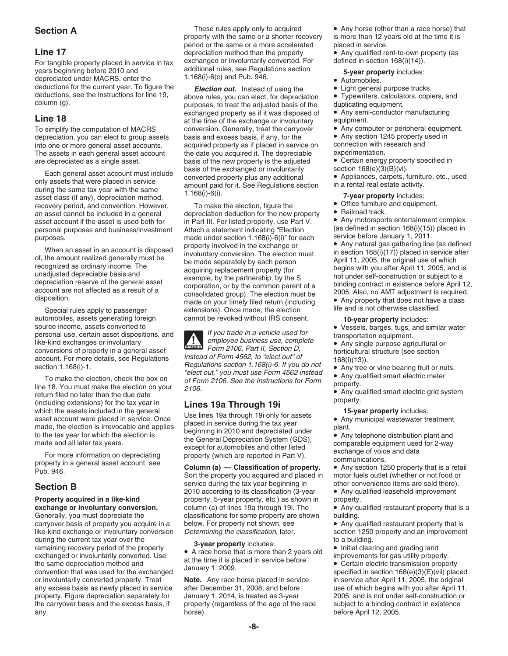years beginning before 2010 and additional rules, see Regulations section **5-year property** includes:<br>depreciated under MACRS, enter the 1.168(i)-6(c) and Pub. 946. depreciated under MACRS, enter the 1.168(i)-6(c) and Pub. 946. • Automobiles.

Each general asset account must include<br>
only assets that were placed in service<br>
during the same tax year with the same<br>
asset class (if any), depreciation method,<br>
asset class (if any), depreciation method,<br>
asset class recovery period, and convention. However, To make the election, figure the second Chicago Chicago Chicago Chica<br>an asset cannot be included in a general depreciation deduction for the new property **Chicago Chicago Chicago** an asset cannot be included in a general depreciation deduction for the new property exampled track.<br>Any motorsports entertainment complex<br>asset account if the asset is used both for in Part III. For listed property use Pa asset account if the asset is used both for in Part III. For listed property, use Part V. • Any motorsports entertainment complex<br>nersonal purposes and business/investment Attach a statement indicating "Flection (as define personal purposes and business/investment Attach a statement indicating "Election (as defined in section 168(i)(15)<br>made under section 1168(i)-6(i)" for each service before January 1, 2011.

automobiles, assets generating foreign cannot be revoked without IRS consent. **10-year property** includes: source income, assets converted to<br>nersonal use certain asset dispositions and **the source of the set of the set of the certain** asset dispositions and source income, assets converted to<br>personal use, certain asset dispositions, and<br>like-kind exchanges or involuntary employee business use, complete<br>conversions of property in a general asset form 2106, Part II, Section D,<br>

(including extensions) for the tax year in<br>
which the assets included in the general<br>
anset account were placed in service. Once<br>
anset are the election is trevocable and applies<br>
to the tax year for which the election is

during the current tax year over the **3-year property** includes:<br>
remaining recovery period of the property **3-year property** includes:<br>
exchanged or involuntarily converted. Use the time it is placed in songice before **in** exchanged or involuntarily converted. Use the property of the same depreciation method and and convention that was used for the exchanged or involuntarily converted. Use at the time it is placed in service before exchanged or involuntarily converted property. Treat **Note.** Any race horse placed in service in service after April 11, 2005, the original any excess basis as newly placed in service after December 31, 2008, and before use of which begins with you after April 11, property. Figure depreciation separately for January 1, 2014, is treated as 3-year 2005, and is not under self-construction or the carryover basis and the excess basis, if property (regardless of the age of the race subject to a binding contract in existence any. horse). before April 12, 2005.

**Section A** These rules apply only to acquired • Any horse (other than a race horse) that property with the same or a shorter recovery is more than 12 years old at the time it is property with the same or a shorter recovery period or the same or a more accelerated placed in service. **Line 17 Line 17 depreciation method than the property • Any qualified rent-to-own property (as** For tangible property placed in service in tax exchanged or involuntarily converted. For defined in section 168(i)(14)).<br>
vears beginning before 2010 and additional rules, see Regulations section **a** 

deductions for the current year. To figure the **Election out**. Instead of using the **Calculations** of Light general purpose trucks.<br>deductions, see the instructions for line 19, above rules, you can elect, for depreciation **Line 18**<br> **Line 18** exchanged property as if it was disposed of  $\bullet$  Any semi-conductor manufacturing<br> **To simplify the computation of MACRS** conversion. Generally, treat the carryover  $\bullet$  Any computer or peripheral equi To simplify the computation of MACRS conversion. Generally, treat the carryover • Any computer or peripheral equipment depreciation, you can elect to group assets basis and excess basis, if any, for the • Any section 1245 depreciation, you can elect to group assets basis and excess basis, if any, for the • Any section 1245 property used in service on • Connection with research and into one or more general asset accounts. acquired property a into one or more general asset accounts. acquired property as if placed in service on connection with r<br>The assets in each general asset account the date you acquired it. The depreciable experimentation. The assets in each general asset account the date you acquired it. The depreciable experimentation.<br>The are depreciated as a single asset. basis of the new property is the adjusted **Canal Acceptation** energy property speci are depreciated as a single asset. basis of the new property is the adjusted • Certain energy prope<br>basis of the exchanged or involuntarily section 168(e)(3)(B)(vi).

purposes. made under section 1.168(i)-6(i)" for each service before January 1, 2011.<br>property involved in the exchange or **Canaly 1** Any natural gas gathering line (as defined Special rules apply to passenger extensions). Once made, the election life and is not otherwise classified.<br>
Special rules assets generating foreign cannot be revoked without IRS consent. **10-year property** includes

**!** conversions of property in a general asset<br>account. For more details, see Regulations<br>section 1.168(i)-1.<br>section 1.168(i)-1.<br>env qualified smart electric meter<br>felect out," you must use Form 4562 instead<br>felect out," you To make the election, check the box on of Form 2106. See the Instructions for Form  $\frac{2106}{2106}$ . See the Instructions for Form property.<br>
The 18. You must make the election on your 2106. See the Instructions for Form pr

**Section B Section B Exercice during the tax year beginning in and the convenience items are sold there). Section B 2010** according to its classification (3-year • Any qualified leasehold improvement **Property acquired in a like-kind** property, 5-year property, etc.) as shown in property. **exchange or involuntary conversion.** column (a) of lines 19a through 19i. The • Any qualified restaurant property that is a Generally, you must depreciate the building. classifications for some property are shown building. carryover basis of property you acquire in a below. For property not shown, see • Any qualified restaurant property that is<br>like-kind exchange or involuntary conversion *Determining the classification*, later. section 1250

- 
- 
- 
- 
- 
- 
- 
- 
- 

- Office furniture and equipment.
- 

When an asset in an account is disposed<br>
of, the amount realized generally must be<br>
of, the amount realized generally must be<br>
of the amount realized generally must be<br>
of the amount realized generally must be<br>
of the gene

- 
- 
- 
- Any qualified smart electric grid system<br>property.

section 1250 property and an improvement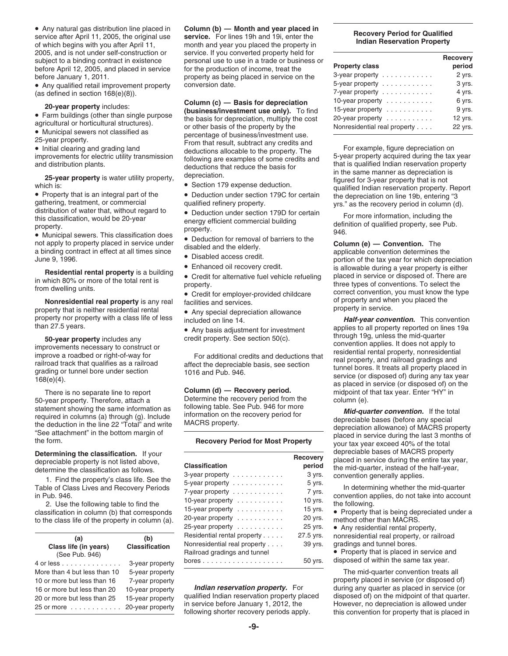• Any natural gas distribution line placed in

• Property that is an integral part of the • Property that is an integral part of the vertex of Deduction under section 179C for certain<br>gathering, treatment, or commercial qualified refinery property.<br>distribution of water that, without regard to be duction under

• Municipal sewers. This classification does<br>not apply to property placed in service under<br> $\frac{1}{2}$  beduction for removal of barriers to the not apply to property placed in service under<br>a binding contract in effect at all times since<br>June 9, 1996.<br>June 9, 1996.<br> $\bullet$  Disabled access credit.<br>Disabled access credit.<br> $\bullet$  Disabled access credit.

property that is neither residential rental • Any special depreciation allowance property nor property with a class life of less included on line 14. **Half-year convention**. This convention than 27.5 years.

There is no separate line to report **Column (d) — Recovery period.** midpoint of that tax year. Enter "HY" in 50-year property. Therefore, attach a Determine the recovery period from the column (e). Examement showing the same information as<br>
the deduction in the line of the bottom margin of<br>
See Rub. 946 for more<br>
the deduction in the line 22 "Total" and write<br>
"See attachment" in the bottom margin of<br>
the form.<br>
The

| (a)<br>Class life (in years)<br>(See Pub. 946) | (b)<br><b>Classification</b> |
|------------------------------------------------|------------------------------|
| $4$ or less $\ldots \ldots \ldots \ldots$      | 3-year property              |
| More than 4 but less than 10                   | 5-year property              |
| 10 or more but less than 16                    | 7-year property              |
| 16 or more but less than 20                    | 10-year property             |
| 20 or more but less than 25                    | 15-year property             |
| 25 or more                                     | 20-year property             |

• Any natural gas distribution line placed in Column (b) — Month and year placed in<br>service after April 11, 2005, the original use service. For lines 19h and 19i, enter the **Recovery Period for Qualified**<br>of which begins w 2005, and is not under self-construction or service. If you converted property held for<br>subject to a binding contract in existence personal use to use in a trade or business or<br>before April 12, 2005, and placed in service

**Column (c) — Basis for depreciation**<br>
■ **20-year property** includes: **10-year property** includes: **15-year property** includes: **15-year property** . To find • Farm buildings (other than single purpose the begin for deprec • Farm buildings (other than single purpose<br>agricultural or horticultural structures).<br>• Municipal sewers not classified as<br>• Municipal sewers not classified as<br>• Percentage of business/investment use. Municipal servers percentage of business/investment use.<br>
• Initial clearing and grading land<br>
• Initial clearing and grading land<br>
• Initial clearing and grading land<br>
• Initial clearing and grading land

distribution of water trial, without regard to <br>this classification, would be 20-year energy efficient commercial building the definition of qualified property, see Pub.<br>
property. 946. 946. • 946. • 946. • 946. • 946. •

- 
- Enhanced oil recovery credit.

Credit for employer-provided childcare

| Determining the classification. If your<br>depreciable property is not listed above,<br>determine the classification as follows.<br>1. Find the property's class life. See the                           |                                                 | <b>Classification</b><br>3-year property<br>$5$ -year property $\ldots \ldots \ldots$                                                                                                          | Recovery<br>period<br>3 yrs.<br>5 yrs.             | depreciable bases of MACRS property<br>placed in service during the entire tax year,<br>the mid-quarter, instead of the half-year,<br>convention generally applies.                                                        |
|----------------------------------------------------------------------------------------------------------------------------------------------------------------------------------------------------------|-------------------------------------------------|------------------------------------------------------------------------------------------------------------------------------------------------------------------------------------------------|----------------------------------------------------|----------------------------------------------------------------------------------------------------------------------------------------------------------------------------------------------------------------------------|
| Table of Class Lives and Recovery Periods<br>in Pub. 946.<br>2. Use the following table to find the<br>classification in column (b) that corresponds<br>to the class life of the property in column (a). |                                                 | $7$ -year property $\ldots \ldots \ldots$<br>10-year property $\ldots \ldots \ldots$<br>15-year property $\ldots \ldots \ldots$<br>20-year property $\ldots \ldots \ldots$<br>25-year property | 7 yrs.<br>10 yrs.<br>15 yrs.<br>20 yrs.<br>25 yrs. | In determining whether the mid-quarter<br>convention applies, do not take into account<br>the following.<br>• Property that is being depreciated under a<br>method other than MACRS.<br>• Any residential rental property, |
| (a)<br>Class life (in years)<br>(See Pub. 946)<br>$4$ or less                                                                                                                                            | (b)<br><b>Classification</b><br>3-year property | Residential rental property<br>Nonresidential real property<br>Railroad gradings and tunnel<br>bores                                                                                           | 27.5 yrs.<br>39 vrs.<br>50 yrs.                    | nonresidential real property, or railroad<br>gradings and tunnel bores.<br>• Property that is placed in service and<br>disposed of within the same tax year.                                                               |

20 or more but less than 25 15-year property qualified Indian reservation property placed disposed of) on the midpoint of that quarter.<br>26-year property in service before January 1, 2012, the However, no depreciation is al

| 2000, and is not under sen-construction or<br>subject to a binding contract in existence<br>before April 12, 2005, and placed in service | <b>SCIVICE. II YOU COITVEILED DIODEILY HEID TOT</b><br>personal use to use in a trade or business or<br>for the production of income, treat the | <b>Property class</b>                     | Recovery<br>period |
|------------------------------------------------------------------------------------------------------------------------------------------|-------------------------------------------------------------------------------------------------------------------------------------------------|-------------------------------------------|--------------------|
| before January 1, 2011.                                                                                                                  | property as being placed in service on the                                                                                                      | $3$ -year property                        | 2 yrs.             |
| • Any qualified retail improvement property                                                                                              | conversion date.                                                                                                                                | $5$ -year property                        | 3 yrs.             |
| (as defined in section 168(e)(8)).                                                                                                       |                                                                                                                                                 | $7$ -year property $\ldots \ldots \ldots$ | 4 yrs.             |
|                                                                                                                                          | Column $(c)$ — Basis for depreciation                                                                                                           | 10-year property $\ldots \ldots \ldots$   | 6 yrs.             |
| 20-year property includes:                                                                                                               | (business/investment use only). To find                                                                                                         | 15-year property $\ldots \ldots \ldots$   | 9 yrs.             |
| • Farm buildings (other than single purpose                                                                                              | the basis for depreciation, multiply the cost                                                                                                   | 20-year property $\ldots \ldots \ldots$   | $12$ yrs.          |
| agricultural or horticultural structures).<br>. Municinal coware not classified as                                                       | or other basis of the property by the                                                                                                           | Nonresidential real property              | 22 yrs.            |

• Initial clearing and grading land<br>
improvements for electric utility transmission<br>
and distribution plants.<br>
25-year property is water utility property,<br>
25-year property is water utility property,<br>
which is:<br>
and distri

portion of the tax year for which depreciation **Enhanced oil recovery credit.** is allowable during a year property is either<br>**Residential rental property** is a building<br>in which 80% or more of the total rent is<br>**Residential rental property** is a building<br>**Residential r Example in the independent of the total rent is**<br>in which 80% or more of the total rent is<br>from dwelling units.<br>From dwelling units.<br>Credit for employer-provided childcare correct convention, you must know the type **Nonresidential real property** is any real facilities and services. The fact of property and when you placed the original real facilities and services.

• Any basis adjustment for investment applies to all property reported on lines 19a **Example the set of the set of the set of the set of the set of the set of the set of the set of the set of the set of the set of the set of the set of the set of the set of the set of the set of the set of the set of the** 

The mid-quarter convention treats all property placed in service (or disposed of)<br>**Indian reservation property.** For during any quarter as placed in service (or **Indian reservation property.** For during any quarter as placed in service (or qualified Indian reservation property placed disposed of) on the midpoint of that quarter.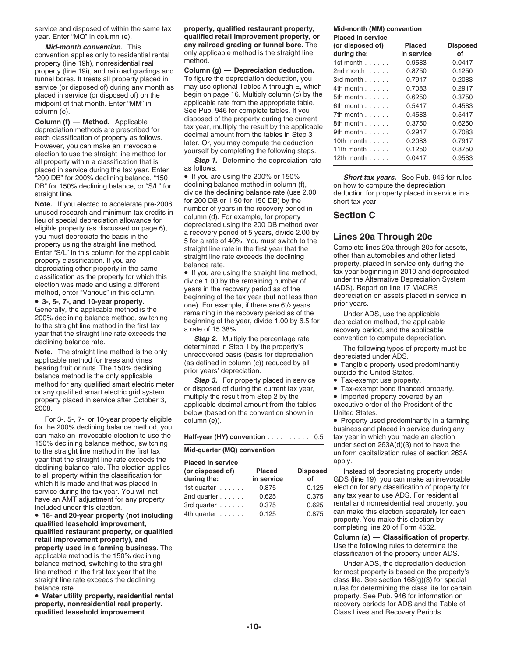service and disposed of within the same tax **property, qualified restaurant property, Mid-month (MM) convention** year. Enter "MQ" in column (e). **qualified retail improvement property, or Placed in service** 

placed in service during the tax year. Enter as follows.<br>"200 DB" for 200% declining balance. "150 · If you are using the 200% or 150% DB" for 150% declining balance, or "S/L" for declining balance method in column (f), on how to compute the declining balance rate (use 2.00

Note. If you elected to accelerate pre-2006 for 200 DB or 1.50 for 150 DB) by the<br>
unused research and minimum tax credits in<br>
lieu of special depreciation allowance for<br>
eligible property (as discussed on page 6),<br>
you m

• 3-, 5-, 7-, and 10-year property.<br>
Cenerally, the applicable method is the<br>
200% declining balance method, switching<br>
to the straight line method in the first tax<br>
year that the straight line rate exceeds the<br>
declining

bearing fruit or nuts. The 150% declining<br>
bearing fruit or nuts. The 150% declining<br>
balance method is the only applicable<br>
method for any qualified smart electric meter<br>
or any qualified smart electric grid system<br>
prope

For 3-, 5-, 7-, or 10-year property eligible<br>for the 200% declining balance method, you<br>can make an irrevocable election to use the<br>150% declining balance method, switching<br>to the straight line method in the first tax<br>to t

• 15- and 20-year property (not including  $\begin{array}{c|c} \text{4\text{m quarter}} & \text{0.125} & \text{0.875} & \text{2.876} \\ \text{qualified lessehold improvement,} & \text{property. You make this electron by completing line 20 of Form 4562.} \\ \text{retail improvement property, or qualified} & \text{completing line 20 of Form 4562.} \\ \text{retail improvement property, and} & \text{Colum (a) } - \text{Classification of property.} \\ \text{property used in a farming business. The} & \text{Use the following rules to determine the} \end{array}$ property used in a farming business. The example applicable method is the 150% declining the applicable method is the 150% declining balance method, switching to the straight Under ADS, the depreciation deduction line method in the first tax year that the formulation of the state of most property is based on the property's straight line rate exceeds the declining class is the class life. See section 168(g)(3) for special

• **Water utility property, residential rental** property. See Pub. 946 for information on **property, nonresidential real property, property** *property property property property property property property property property property property property property* **qualified leasehold improvement** Class Lives and Recovery Periods.

*Mid-month convention.* This **any railroad grading or tunnel bore.** The **(***or disposed of a place of disposed of ) place of a place of*  $\alpha$  *place of the angle of the angle of the a*  $\alpha$  *<i>Place of a place of*  $\alpha$  *be a* 

straight line.<br>Mote in service in a divide the declining balance rate (use 2.00 deduction for property placed in service in a<br>Mote if you closted to accelerate are 2006 for 200 DB or 1.50 for 150 DB) by the short tax year.

depreciating oner property in the same<br>
classification as the property for which this<br>
e If you are using the straight line method, the set of the Alternative Depreciation System<br>
election was made and using a different ye

| Half-year (HY) convention |  |  |  |  |  |  |  |  |  |  |  |
|---------------------------|--|--|--|--|--|--|--|--|--|--|--|
|---------------------------|--|--|--|--|--|--|--|--|--|--|--|

| year that the straight line rate exceeds the                                                  | <b>Placed in service</b>          |               | apply.          |                                                                                   |  |
|-----------------------------------------------------------------------------------------------|-----------------------------------|---------------|-----------------|-----------------------------------------------------------------------------------|--|
| declining balance rate. The election applies<br>to all property within the classification for | (or disposed of)                  | <b>Placed</b> | <b>Disposed</b> | Instead of depreciating property under                                            |  |
| which it is made and that was placed in                                                       | during the:                       | in service    | оf              | GDS (line 19), you can make an irrevocable                                        |  |
| service during the tax year. You will not                                                     | 1st quarter $\ldots \ldots$       | 0.875         | 0.125           | election for any classification of property for                                   |  |
| have an AMT adjustment for any property                                                       | 2nd quarter $\ldots \ldots$       | 0.625         | 0.375           | any tax year to use ADS. For residential                                          |  |
| included under this election.                                                                 | 3rd quarter $\ldots \ldots$       | 0.375         | 0.625           | rental and nonresidential real property, you                                      |  |
| • 15- and 20-year property (not including                                                     | 4th quarter $\ldots \ldots$ 0.125 |               | 0.875           | can make this election separately for each<br>proporty. Vou make this election by |  |

| <b>Mid-month convention.</b> This<br>convention applies only to residential rental           | any railroad grading or tunnel bore. The<br>only applicable method is the straight line | (or disposed of)<br>during the: | <b>Placed</b><br>in service | <b>Disposed</b><br>of |
|----------------------------------------------------------------------------------------------|-----------------------------------------------------------------------------------------|---------------------------------|-----------------------------|-----------------------|
| property (line 19h), nonresidential real                                                     | method.                                                                                 | 1st month $\ldots$              | 0.9583                      | 0.0417                |
| property (line 19i), and railroad gradings and                                               | Column (q) — Depreciation deduction.                                                    | 2nd month $\ldots$ .            | 0.8750                      | 0.1250                |
| tunnel bores. It treats all property placed in                                               | To figure the depreciation deduction, you                                               | 3rd month $\ldots$ , $\ldots$   | 0.7917                      | 0.2083                |
| service (or disposed of) during any month as                                                 | may use optional Tables A through E, which                                              | 4th month $\ldots$ , $\ldots$   | 0.7083                      | 0.2917                |
| placed in service (or disposed of) on the                                                    | begin on page 16. Multiply column (c) by the                                            | 5th month $\ldots$              | 0.6250                      | 0.3750                |
| midpoint of that month. Enter "MM" in                                                        | applicable rate from the appropriate table.                                             | 6th month $\ldots$ , $\ldots$   | 0.5417                      | 0.4583                |
| column (e).                                                                                  | See Pub. 946 for complete tables. If you<br>disposed of the property during the current | 7th month $\ldots$ , $\ldots$   | 0.4583                      | 0.5417                |
| <b>Column (f) — Method.</b> Applicable                                                       | tax year, multiply the result by the applicable                                         | 8th month                       | 0.3750                      | 0.6250                |
| depreciation methods are prescribed for                                                      | decimal amount from the tables in Step 3                                                | 9th month $\ldots$ , $\ldots$   | 0.2917                      | 0.7083                |
| each classification of property as follows.                                                  | later. Or, you may compute the deduction                                                | 10th month $\ldots$             | 0.2083                      | 0.7917                |
| However, you can make an irrevocable                                                         | yourself by completing the following steps.                                             | 11th month $\ldots$             | 0.1250                      | 0.8750                |
| election to use the straight line method for<br>all property within a classification that is | <b>Step 1.</b> Determine the depreciation rate                                          | 12th month $\ldots$             | 0.0417                      | 0.9583                |

"200 DB" for 200% declining balance, "150 • If you are using the 200% or 150% *Short tax years.* See Pub. 946 for rules<br>DB" for 150% declining balance, or "S/L" for declining balance method in column (f), on how to compute

- 
- 
- 
- 
- 

balance rate. The rate of the class life for certain balance rate. The rules for determining the class life for certain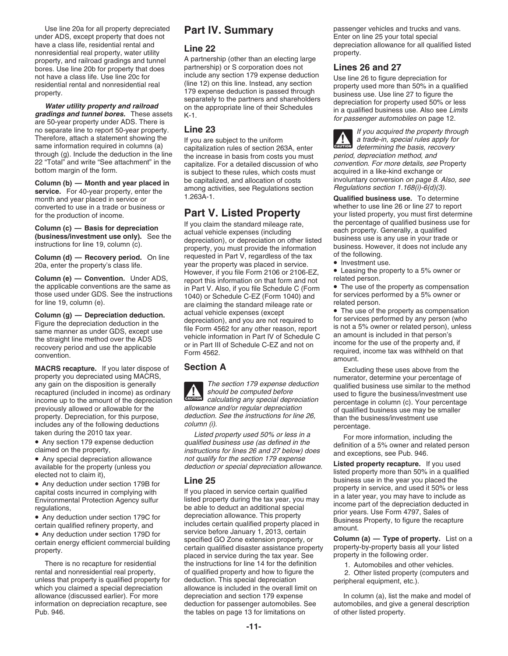have a class life, residential rental and **depreciation allowance for all all quality**<br>nonresidential real property, water utility **Line 22** property and railroad gradings and tunnel and partnership (other than an electing property, and railroad gradings and tunnel A partnership (other than an electing languary hores I Ise line 20b for property that does and

no separate line to report 50-year property. **Line 23** If you acquired the property through Therefore, attach a statement showing the **If** you are subject to the uniform attach a trade-in special rules apply for Therefore, attach a statement showing the If you are subject to the uniform a trade-in, special rules apply for<br>same information required in columns (a) capitalization rules of section 263A, enter determining the basis, re through (g). Include the deduction in the line the increase in basis from costs you must period, depreciation method, and<br>22 "Total" and write "See attachment" in the capitalize. For a detailed discussion of who convention 22 "Total" and write "See attachment" in the capitalize. For a detailed discussion of who convention. For more details, see P<br>bottom margin of the form. expansion is subject to these rules, which costs must acquired in a l

**Column (b)** — Month and year placed in the capitalized, and allocation of costs involuntary conversion on page 8. All service. For 40-year property, enter the among activities, see Regulations section  $\frac{1.263A-1}{2.263A$ converted to use in a trade or business or

those used under GDS. See the instructions 1040) or Schedule C-EZ (Form 1040) and for services per<br>for line 19, column (e). exercisions the standard mileage rate or related person.

**MACRS recapture.** If you later dispose of **Section A**<br>property you depreciated using MACRS,<br>any gain on the disposition is generally **and the section 179** expense deduction<br>recaptured (included in income) as ordinary **an** income up to the amount of the depreciation<br>previously allowed or allowable for the allowance and/or regular depreciation end of qualified business use may be smaller<br>property. Depreciation, for this purpose, deduction. Se includes any of the following deductions column (i).<br>taken during the 2010 tax year. Listed property used 50% or less in a For more information, including the<br>• Any section 179 expense deduction a Formation curalified busi

• Any special depreciation allowance

bores. Use line 20b for property that does partnership) or S corporation does not **Lines 26 and 27** not have a class life. Use line 20c for include any section 179 expense deduction Use line 26 to figure depreciation for<br>include any section Use line 26 to figure depreciation for residential rental and nonresidential real residential rental and nonresidential real (line 12) on this line. Instead, any section property used more than 50% in a qualified<br>property. This instead, any section property used more than 50% in a qualified property.

capitalization rules of section 263A, enter

**Column (c)** — Basis for depreciation and the standard mileage rate, the percentage of qualified business use for the percentage of qualified business use for the percentage of qualified business use for the percentage of **Column (d) — Recovery period.** On line requested in Part V, regardless of the tax of the following.<br>
20a. enter the property's class life. <br>
year the property was placed in service. Investment use. year the property was placed in service.<br>However if you file Form 2106 or 2106-F7 • Leasing the property to a 5% owner or However, if you file Form 2106 or 2106-EZ, <br>France this information on that form and not related person. **Column (e) — Convention.** Under ADS, report this information on that form and not<br>the applicable conventions are the same as in Part V. Also, if you file Schedule C (Form  $\bullet$  The use of the property as compensation<br>thos are claiming the standard mileage rate or related person.<br>  $\bullet$  The use of the property as compensation

**!**

Any section 179 expense deduction qualified business use (as defined in the definition of a 5% owner and related person claimed on the property, instructions for lines 26 and 27 below) does and exceptions, see Pub. 946.<br>
•

• Any deduction under section 179C for<br>
• Any deduction under section 179C for<br>
• Any deduction under section 179C for<br>
• Any deduction under section 179D for<br>
• Any deduction under section 179D for<br>
• Any deduction under • Any deduction under section 179D for<br>certain energy efficient commercial building specified GO Zone extension property, or **Column (a) — Type of property.** List on a<br>property.<br>property in the following order. There is no recapture for residential the instructions for line 14 for the definition 1. Automobiles and other vehicles. rental and nonresidential real property, of qualified property and how to figure the 2. Other listed property (computers and unless that property is qualified property for deduction. This special depreciation peripheral eq unless that property is qualified property for deduction. This special depreciation peripheral equipment, etc.).<br>which you claimed a special depreciation allowance is included in the overall limit on allowance is included in the overall limit on allowance (discussed earlier). For more depreciation and section 179 expense In column (a), list the make and model of information on depreciation recapture, see deduction for passenger automobiles. See automobiles, and give a general description Pub. 946. The tables on page 13 for limitations on the tother listed property.

Use line 20a for all property depreciated **Part IV. Summary** under ADS, except property that does not under ADS, except property that does not under ADS, except property that does not **Enter Sylvan and Enter on line 25 you** 

property.<br>
Water utility property and railroad<br> **Water utility property and railroad**<br> **Water utility property and railroad**<br>
on the appropriate line of their Schedules<br>
on the appropriate line of their Schedules<br>
on the a

**!** is subject to these rules, which costs must acquired in a like-kind exchange or<br>be capitalized, and allocation of costs involuntary conversion *on page 8. Also, see* 

**Qualified business use.** To determine whether to use line 26 or line 27 to report For the production of income.<br> **Part V. Listed Property** your listed property, you must first determine<br>
If you claim the standard mileage rate.

**Column (g) — Depreciation deduction.**<br>
Figure the depreciation deduction in the depreciation deduction in the same manner as under GDS, except use the same manner as under GDS, except use the straight line method over the

• Any special depreciation allowance *not qualify for the section 179 expense*<br>available for the property (unless you *deduction or special depreciation allowance*. Listed property recapture. If you used<br>elected not to cla • Any deduction under section 179B for<br>
capital costs incurred in complying with listed property during the tax year, you may all used it 50% or less<br>
Environmental Protection Agency sulfur listed property during the tax y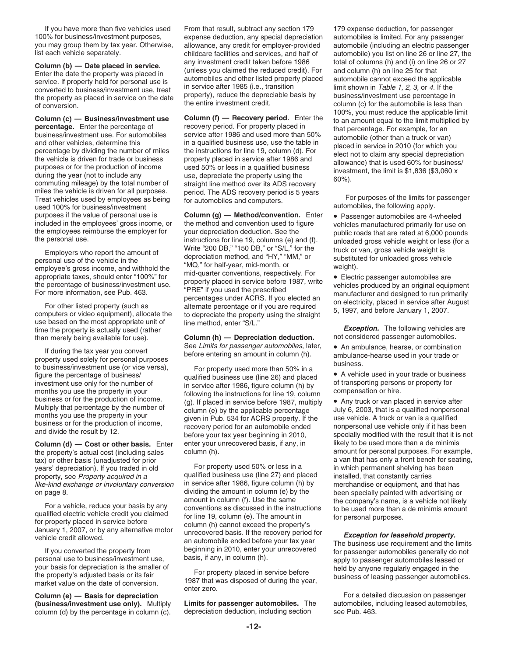100% for business/investment purposes, expense deduction, any special depreciation automobiles is limited. For any passenger<br>you may group them by tax year. Otherwise, allowance, any credit for employer-provided automobile you may group them by tax year. Otherwise, allowance, any credit for employer-provided automobile (including an electric passenger childcare facilities and services, and half of automobile) you list on line 26 or line 27,

miles the vehicle is driven for all purposes. period. The ADS recovery period is 5 years Treat vehicles used by employees as being For purposes of the limits for passenger used 100% for business/investment automobiles and computers.<br>automobiles, the following apply. purposes if the value of personal use is **Column (g) — Method/convention.** Enter • Passenger automobiles are 4-wheeled included in the employees' gross income, or the method and convention used to figure vehicles manufactu

use based on the most appropriate unit of line method, enter "S/L." time the property is actually used (rather **Exception**. The following vehicles are than merely being available for use).<br> **Column (h) — Depreciation deduction.** not considered passenger automobiles.

If during the tax year you convert<br>
or the Limits for passenger automobiles, later,<br>
the An ambulance, hearse, or combination<br>
from property used solely for personal purposes<br>
to business/investment use (or vice versa),<br>

tax) or other basis (unadjusted for prior<br>vears' depreciation). If you traded in old **For property used 50% or less in a** a van that has only a front bench for seat years' depreciation). If you traded in old property, see Property acquired in a qualified business use (line 27) and placed installed, that constantly carries<br>like-kind exchange or involuntary conversion in service after 1986, figure column (h) by merchandise or eq like-kind exchange or involuntary conversion in service atter 1986, tigure column (h) by merchandise or equipment, and that has dividing the amount in column (e) by the been specially painted with advertising or paracter o

personal use to business/investment use, basis, if any, in column (h). apply to passenger automobiles leased or<br>your basis for depreciation is the smaller of **the contract of the contract of the section** beld by anyone reg For property placed in service before<br>the property's adjusted basis or its fair<br>market value on the date of conversion. 1987 that was disposed of during the year,<br>business of leasing passenger automobiles.

**(business/investment use only).** Multiply

If you have more than five vehicles used From that result, subtract any section 179 179 expense deduction, for passenger **Column (b)** — **Date placed in service.** The any investment credit taken before 1986 total of columns (h) and (i) on line 26 or 27<br>
Enter the date the property was placed in the section of unless you claimed the reduced c

**Column (c) — Business/investment use**<br> **Column (f) — Recovery period.** Enter the the applicable limit<br>
percentage. Enter the percentage of<br>
business/investment use. For automobiles<br>
and other vehicles, determine this<br>
an

included in the employees' gross income, or ethe method and convention used to figure experiences manufactured primarily for use on<br>the employees reimburse the employer for your depreciation deduction. See the personal use Employers who report the amount of<br>
personal use of the vehicle in the<br>
employer's gross income, and withhold the<br>
employee's gross income, and withhold the<br>
employee's gross income, and withhold the<br>
employee's gross inco

**Column (h) — Depreciation deduction.**<br>See Limits for passenger automobiles, later,

on page 8. dividing the amount in column (e) by the been specially painted with advertising or<br>amount in column (f). Use the same the company's name, is a vehicle not likel For a vehicle, reduce your basis by any<br>qualified electric vehicle credit you claimed<br>for property placed in service before<br>for property placed in service before<br>distance of the text of the same in the instructions<br>for pro

enter zero.

column (d) by the percentage in column (c). depreciation deduction, including section see Pub. 463.

childcare facilities and services, and half of automobile) you list on line 26 or line 27, the of conversion.<br>
The entire investment credit.<br>
The entire investment credit.<br>
Column (c) column (c) for the automobile is less than<br>  $\frac{100\%}{900}$ , you must reduce the applicable limit

**Column (d) — Cost or other basis.** Enter enter your unrecovered basis, if any, in likely to be used more than a de minimis the property's actual cost (including sales column (h). the property's actual cost (including sales column (h).<br>
tax) or other basis (unadiusted for prior<br>
tax) or other basis (unadiusted for prior

an automobile ended before your tax year The business use requirement and the limits<br>If you converted the property from beginning in 2010, enter your unrecovered for passenger automobiles generally do not<br>apply to passenge

**Column (e) — Basis for depreciation**<br>(business/investment use only). Multiply Limits for passenger automobiles. The automobiles, including leased automobiles,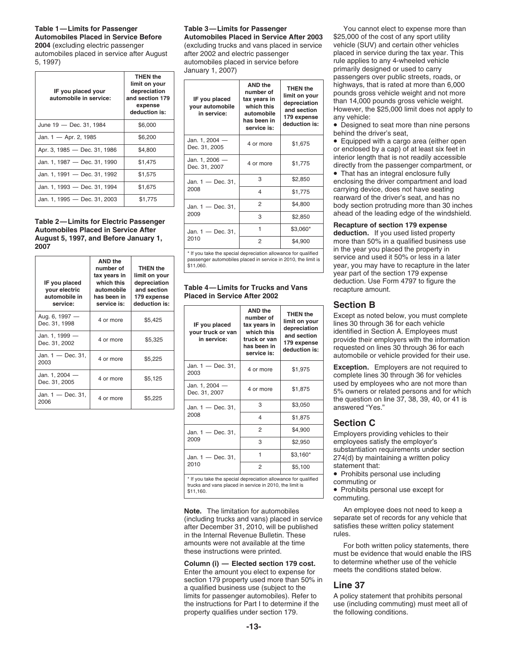5, 1997) automobiles placed in service before

| IF you placed your<br>automobile in service: | <b>THEN the</b><br>limit on your<br>depreciation<br>and section 179<br>expense<br>deduction is: |
|----------------------------------------------|-------------------------------------------------------------------------------------------------|
| June 19 - Dec. 31, 1984                      | \$6,000                                                                                         |
| Jan. 1 - Apr. 2, 1985                        | \$6,200                                                                                         |
| Apr. 3, 1985 - Dec. 31, 1986                 | \$4,800                                                                                         |
| Jan. 1, 1987 — Dec. 31, 1990                 | \$1,475                                                                                         |
| Jan. 1, 1991 - Dec. 31, 1992                 | \$1,575                                                                                         |
| Jan. 1, 1993 - Dec. 31, 1994                 | \$1,675                                                                                         |
| Jan. 1, 1995 — Dec. 31, 2003                 | \$1,775                                                                                         |

| IF you placed<br>your electric<br>automobile in<br>service: | <b>AND the</b><br>number of<br>tax years in<br>which this<br>automobile<br>has been in<br>service is: | <b>THEN the</b><br>limit on your<br>depreciation<br>and section<br>179 expense<br>deduction is: |
|-------------------------------------------------------------|-------------------------------------------------------------------------------------------------------|-------------------------------------------------------------------------------------------------|
| Aug. 6, 1997 —<br>Dec. 31, 1998                             | 4 or more                                                                                             | \$5,425                                                                                         |
| Jan. 1, 1999 -<br>Dec. 31, 2002                             | 4 or more                                                                                             | \$5,325                                                                                         |
| Jan. $1 -$ Dec. 31,<br>2003                                 | 4 or more                                                                                             | \$5,225                                                                                         |
| Jan. 1, 2004 -<br>Dec. 31, 2005                             | 4 or more                                                                                             | \$5,125                                                                                         |
| Jan. $1 -$ Dec. 31,<br>2006                                 | 4 or more                                                                                             | \$5,225                                                                                         |

**<sup>2004</sup>**(excluding electric passenger (excluding trucks and vans placed in service vehicle (SUV) and certain other vehicles automobiles placed in service after August after 2002 and electric passenger placed in service during the tax year.<br>5. 1997) automobiles placed in service before rule applies to any 4-wheeled vehicle January 1, 2007) primarily designed or used to carry

|                                                                                             |         | <b>IHEN The</b>                                                              |                     |                                                                                                                                 |                |                                                                                   | passengers over public streets, roads, or                                                     |  |  |                                           |  |                                                 |                                                                                                                                                                                                   |  |                                                                                                                                                                                                     |
|---------------------------------------------------------------------------------------------|---------|------------------------------------------------------------------------------|---------------------|---------------------------------------------------------------------------------------------------------------------------------|----------------|-----------------------------------------------------------------------------------|-----------------------------------------------------------------------------------------------|--|--|-------------------------------------------|--|-------------------------------------------------|---------------------------------------------------------------------------------------------------------------------------------------------------------------------------------------------------|--|-----------------------------------------------------------------------------------------------------------------------------------------------------------------------------------------------------|
| IF you placed your<br>automobile in service:                                                |         | limit on your<br>depreciation<br>and section 179<br>expense<br>deduction is: |                     |                                                                                                                                 |                |                                                                                   |                                                                                               |  |  |                                           |  | IF you placed<br>your automobile<br>in service: | AND the<br><b>THEN the</b><br>number of<br>limit on your<br>tax years in<br>depreciation<br>which this<br>and section<br>automobile<br>179 expense<br>has been in<br>deduction is:<br>service is: |  | highways, that is rated at more than 6,000<br>pounds gross vehicle weight and not more<br>than 14,000 pounds gross vehicle weight.<br>However, the \$25,000 limit does not apply to<br>any vehicle: |
| June 19 - Dec. 31, 1984                                                                     |         | \$6,000                                                                      |                     |                                                                                                                                 |                |                                                                                   |                                                                                               |  |  | • Designed to seat more than nine persons |  |                                                 |                                                                                                                                                                                                   |  |                                                                                                                                                                                                     |
| Jan. $1 -$ Apr. 2, 1985                                                                     |         | \$6,200                                                                      |                     | Jan. 1, 2004 -                                                                                                                  | 4 or more      | \$1,675                                                                           | behind the driver's seat.<br>• Equipped with a cargo area (either open                        |  |  |                                           |  |                                                 |                                                                                                                                                                                                   |  |                                                                                                                                                                                                     |
| Apr. 3, 1985 - Dec. 31, 1986                                                                |         | \$4,800                                                                      |                     | Dec. 31, 2005                                                                                                                   |                |                                                                                   | or enclosed by a cap) of at least six feet in                                                 |  |  |                                           |  |                                                 |                                                                                                                                                                                                   |  |                                                                                                                                                                                                     |
| Jan. 1, 1987 - Dec. 31, 1990                                                                |         | \$1,475                                                                      |                     | Jan. 1, 2006 -<br>Dec. 31, 2007                                                                                                 | 4 or more      | \$1,775                                                                           | interior length that is not readily accessible<br>directly from the passenger compartment, or |  |  |                                           |  |                                                 |                                                                                                                                                                                                   |  |                                                                                                                                                                                                     |
| Jan. 1, 1991 - Dec. 31, 1992                                                                |         | \$1,575                                                                      |                     |                                                                                                                                 | 3              | \$2,850                                                                           | • That has an integral enclosure fully<br>enclosing the driver compartment and load           |  |  |                                           |  |                                                 |                                                                                                                                                                                                   |  |                                                                                                                                                                                                     |
| Jan. 1, 1993 - Dec. 31, 1994                                                                | \$1,675 |                                                                              |                     | Jan. $1 -$ Dec. 31.<br>2008                                                                                                     | 4              | \$1,775                                                                           | carrying device, does not have seating                                                        |  |  |                                           |  |                                                 |                                                                                                                                                                                                   |  |                                                                                                                                                                                                     |
| Jan. 1, 1995 - Dec. 31, 2003                                                                |         | \$1,775                                                                      |                     |                                                                                                                                 |                |                                                                                   | rearward of the driver's seat, and has no                                                     |  |  |                                           |  |                                                 |                                                                                                                                                                                                   |  |                                                                                                                                                                                                     |
|                                                                                             |         |                                                                              | Jan. $1 -$ Dec. 31, | 2                                                                                                                               | \$4,800        | body section protruding more than 30 inches                                       |                                                                                               |  |  |                                           |  |                                                 |                                                                                                                                                                                                   |  |                                                                                                                                                                                                     |
| Table 2-Limits for Electric Passenger                                                       |         |                                                                              |                     | 2009                                                                                                                            | 3              | \$2,850                                                                           | ahead of the leading edge of the windshield.                                                  |  |  |                                           |  |                                                 |                                                                                                                                                                                                   |  |                                                                                                                                                                                                     |
| <b>Automobiles Placed in Service After</b><br>August 5, 1997, and Before January 1,<br>2007 |         |                                                                              | Jan. 1 — Dec. 31.   |                                                                                                                                 | $$3,060*$      | Recapture of section 179 expense<br><b>deduction.</b> If you used listed property |                                                                                               |  |  |                                           |  |                                                 |                                                                                                                                                                                                   |  |                                                                                                                                                                                                     |
|                                                                                             |         |                                                                              |                     | 2010                                                                                                                            | $\overline{2}$ | \$4,900                                                                           | more than 50% in a qualified business use                                                     |  |  |                                           |  |                                                 |                                                                                                                                                                                                   |  |                                                                                                                                                                                                     |
| AND the                                                                                     |         |                                                                              |                     | * If you take the special depreciation allowance for qualified<br>passenger automobiles placed in service in 2010, the limit is |                |                                                                                   | in the year you placed the property in<br>service and used it 50% or less in a later          |  |  |                                           |  |                                                 |                                                                                                                                                                                                   |  |                                                                                                                                                                                                     |

### **Table 4—Limits for Trucks and Vans** recapture amount. **Placed in Service After 2002**

| service:                        | service is:            | deduction is: |                                                                                                                           |                                                                                          |                                                  | <b>Section B</b>                                                                                                                     |                                                                           |                                               |
|---------------------------------|------------------------|---------------|---------------------------------------------------------------------------------------------------------------------------|------------------------------------------------------------------------------------------|--------------------------------------------------|--------------------------------------------------------------------------------------------------------------------------------------|---------------------------------------------------------------------------|-----------------------------------------------|
| Aug. 6, 1997 —<br>Dec. 31, 1998 | 4 or more              | \$5,425       | IF you placed                                                                                                             | AND the<br>number of<br>tax years in                                                     | <b>THEN the</b><br>limit on your<br>depreciation | Except as noted below, you must complete<br>lines 30 through 36 for each vehicle                                                     |                                                                           |                                               |
| Jan. 1, 1999 —<br>Dec. 31, 2002 | 4 or more              | \$5,325       | your truck or van<br>in service:                                                                                          | which this<br>and section<br>truck or van<br>179 expense<br>has been in<br>deduction is: |                                                  | identified in Section A. Employees must<br>provide their employers with the information<br>requested on lines 30 through 36 for each |                                                                           |                                               |
| Jan. 1 — Dec. 31.               | 4 or more              | \$5,225       |                                                                                                                           |                                                                                          |                                                  | service is:                                                                                                                          |                                                                           | automobile or vehicle provided for their use. |
| 2003                            |                        |               | Jan. $1 -$ Dec. 31.                                                                                                       | 4 or more                                                                                | \$1,975                                          | Exception. Employers are not required to                                                                                             |                                                                           |                                               |
| Jan. 1, 2004 -                  | 4 or more<br>4 or more | \$5,125       | 2003                                                                                                                      |                                                                                          |                                                  | complete lines 30 through 36 for vehicles                                                                                            |                                                                           |                                               |
| Dec. 31, 2005                   |                        |               | Jan. 1, 2004 -                                                                                                            | 4 or more                                                                                | \$1,875                                          | used by employees who are not more than<br>5% owners or related persons and for which                                                |                                                                           |                                               |
| Jan. 1 — Dec. 31,<br>2006       |                        | \$5,225       | Dec. 31, 2007                                                                                                             |                                                                                          |                                                  | the question on line 37, 38, 39, 40, or 41 is                                                                                        |                                                                           |                                               |
|                                 |                        |               | $-$ Dec. 31,<br>Jan. 1                                                                                                    | 3                                                                                        | \$3,050                                          | answered "Yes."                                                                                                                      |                                                                           |                                               |
|                                 |                        |               | 2008                                                                                                                      | 4                                                                                        | \$1,875                                          | <b>Section C</b>                                                                                                                     |                                                                           |                                               |
|                                 |                        |               |                                                                                                                           | $-$ Dec. 31,<br>Jan. 1                                                                   | 2                                                | \$4,900                                                                                                                              |                                                                           |                                               |
|                                 |                        |               |                                                                                                                           | 2009                                                                                     | 3                                                | \$2,950                                                                                                                              | Employers providing vehicles to their<br>employees satisfy the employer's |                                               |
|                                 |                        |               |                                                                                                                           |                                                                                          |                                                  | substantiation requirements under section                                                                                            |                                                                           |                                               |
|                                 |                        |               | $-$ Dec. 31.<br>Jan. 1                                                                                                    |                                                                                          | \$3,160*                                         | 274(d) by maintaining a written policy                                                                                               |                                                                           |                                               |
|                                 |                        |               | 2010                                                                                                                      | 2                                                                                        | \$5,100                                          | statement that:                                                                                                                      |                                                                           |                                               |
|                                 |                        |               | * If you take the special depreciation allowance for qualified<br>trucks and vans placed in service in 2010, the limit is |                                                                                          |                                                  | • Prohibits personal use including<br>commuting or                                                                                   |                                                                           |                                               |

\$11,160. • Prohibits personal use except for

**Note.** The limitation for automobiles **An employee does not need to keep a**<br>(including trucks and vans) placed in service separate set of records for any vehicle that (including trucks and vans) placed in service separate set of records for any vehicle<br>after December 31, 2010, will be published satisfies these written policy statement after December 31, 2010, will be published satisf<br>in the Internal Povenue Bullotin, These rules in the Internal Revenue Bulletin. These amounts were not available at the time<br>these instructions were printed. The section written policy statements, there these instructions were printed.

**Column (i) — Elected section 179 cost.** to determine whether use of the vehicle<br>Enter the crequent veu cleat to expanse for meets the conditions stated below Enter the amount you elect to expense for section 179 property used more than 50% in a qualified business use (subject to the **Line 37** limits for passenger automobiles). Refer to A policy statement that prohibits personal the instructions for Part I to determine if the use (including commuting) must meet all of property qualifies under section 179. the following conditions.

**Table 1—Limits for Passenger Table 3—Limits for Passenger** You cannot elect to expense more than **Automobiles Placed in Service Before Automobiles Placed in Service After 2003** \$25,000 of the cost of any sport utility **Automobiles Placed in Service After 2003** \$25,000 of the cost of any sport utility<br>(excluding trucks and vans placed in service vehicle (SUV) and certain other vehicles passengers over public streets, roads, or

passenger automobiles placed in service in 2010, the limit is **in the U.S. Service and used it 50% or less in a later s** 1,060. year part of the section 179 expense deduction. Use Form 4797 to figure the

## **Section B**

## **Section C**

commuting.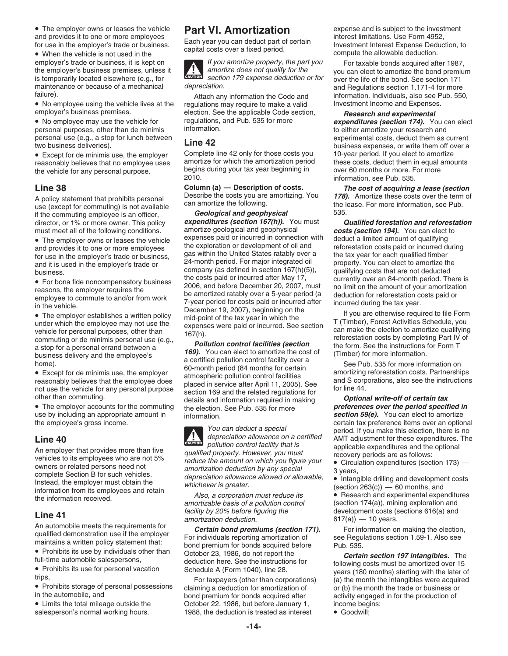• The employer owns or leases the vehicle • The employer owns or leases the vehicle **Part VI. Amortization** expense and is subject to the investment and provides it to one or more employees **Part VI. Amortization** interest limitations. Use Form 4952,

 $\bullet$  When the vehicle is not used in the maintenance or because of a mechanical depreciation. and Regulations section 1.171-4 for more<br>Attach any information the Code and information Individuals also see Bub 550

• No employee using the vehicle lives at the regulations may require to make a valid Investment Income and Expenses.

• No employee may use the vehicle for personal purposes, other than de minimis information. The more than the either amortize your research and personal use (e.g., a stop for lunch between experimental costs, deduct them as current<br>two business deliveries) **Eine 42** experimental costs, deduct them as current

reasonably believes that no employee uses amortize for which the amortization period these costs, deduct them in equal amounts the vehicle for any personal purpose. the vehicle for any personal purpose. begins begins begins begins begins  $2010$ .

can amortize the following. The lease (except for commuting) is not available<br>if the commuting employee is an officer, **Geological and geophysical** 535.<br>director, or 1% or more owner. This policy **expenditures (section 167** 

for use in the employer's trade or business, gas within the United States ratably over a the employer's trade or business, 24-month period. For major integrated oil

• The employer establishes a written policy commuting or de minimis personal use (e.g.,<br>a stop for a personal errand between a<br>business delivery and the employee's **169).** You can elect to amortize the cost of (Timber) for more information.

• The employer accounts for the commuting the election. See Pub. 535 for more *preferences over the period specified in* 

Instead, the employer must obtain the *uepreciation allowance allowed or allowable*, Intangible drilling and development costs<br>information from its employees and retain *Also, a corporation must reduce its* (section 263(c)

An automobile meets the requirements for **Certain bond premiums (section 171).** For information on making the election, qualified demonstration use if the employer For individuals reporting amortization of see Regulations

• Prohibits its use by individuals other than

• Prohibits storage of personal possessions • Prohibits storage of personal possessions claiming a deduction for amortization of or (b) the month the trade or business or<br>in the automobile, and bond premium for bonds acquired after activity engaged in for the produc

• Limits the total mileage outside the

employer's trade or business, it is kept on If you amortize property, the part you For taxable bonds acquired after 1987,<br>the employer's business premises, unless it the employer's business premises, unless it all amortize does not qualify for the you can elect to amortize the bond premium is temporarily located elsewhere (e.g., for **CAUTION** section 179 expense deduction or for over t  $\frac{41}{640710}$ is technical section 179 expense deduction or for over the life of the bond. See section 171<br>and Bequilations section 1.171-4 for more

employer's business premises.<br>• No employee may use the vehicle for regulations, and Pub. 535 for more **regulations** and Pub. 535 for more

• Except for de minimis use, the employer Complete line 42 only for those costs you in 10-year period. If you elect to amortize

director, or 1% or more owner. This policy **expenditures (section 167(h)).** You must *Qualified forestation and reforestation* must meet all of the following conditions. amortize geological and geophysical **costs (sectio** must meet all of the following conditions. amortize geological and geophysical **costs (section 194).** You can elect  $\bullet$  **Find amount of qualifying** expenses paid or incurred in connection with deduct a limited amount of q • The employer owns or leases the vehicle expenses paid or incurred in connection with deduct a limited amount of qualifying First current or more employees the exploration or development of oil and reforestation costs paid or incurred during<br>for use in the employer's trade or business. gas within the United States ratably over a the tax year fo and it is used in the employer's trade or 24-month period. For major integrated oil property. You can elect to amortize the company (as defined in section 167(h)(5)), qualifying costs that are not deducted  $\frac{1}{2}$  company (as defined in section 167(h)(5)), business.<br>business.  $\frac{1}{2}$  costs paid or incurred after May 17, • For bona fide noncompensatory business the costs paid or incurred after May 17, currently over an 84-month period. There is • 2006, and before December 20, 2007, must • no limit on the amount of your amortization • For bona fide noncompensatory business<br>
reasons, the employer requires the<br>
employer requires the<br>
employer requires the<br>
the amortized ratably over a 5-year period (a<br>
the vehicle of the amortization of reforestation c

 $\frac{169}{2}$ . You can elect to amortize the cost of (Timber) for more information.<br>
business delivery and the employee's a certified pollution control facility over a<br>
Except for de minimis use the employer 60-month period • Except for de minimis use, the employer<br>
reasonably believes that the employee does<br>
not use the vehicle for any personal purpose<br>
the vehicle for any personal purpose<br>
other than commuting.<br>
other than commuting.<br>  $\frac{1$ 

**!** An employer that provides more than five<br>vehicles to its employees who are not 5% reduce the amount on which you figure your<br>owners or related persons need not<br>amortization deduction by any special Circuit is or related persons need not amortization deduction by any special and special complete Section B for such vehicles.<br>
Instead, the employer must obtain the *mplote persons of allowance allowed or allowable*, • In

• Prohibits its use by individuals other than<br>
• Prohibits its use by individuals other than<br>
full-time automobile salespersons,<br>
• Prohibits its use for personal vacation<br>
• Prohibits its use for personal vacation<br>
• Proh

bond premium for bonds acquired after activity engaged in for the production of October 22, 1986, but before January 1, income begins: salesperson's normal working hours. 1988, the deduction is treated as interest • Goodwill;

and provides it to one or more employees Each year you can deduct part of certain<br>
for use in the employer's trade or business.<br>
Each year you can deduct part of certain<br>
threest limitations. See Form +352,<br>
Investment In

Attach any information the Code and information. Individuals, also see Pub. 550,

no equilations, and Pub. 535 for more **expenditures (section 174).** You can elect information. two business deliveries).<br>● Except for de minimis use the employer Complete line 42 only for those costs you **business expenses, or write them off over a**<br>● Except for de minimis use the employer Complete line 42 only for information, see Pub. 535.

**Line 38 Column (a) — Description of costs.** *The cost of acquiring a lease (section*  $\Lambda$  poliov statement that probibite personal **Describe the costs you are amortizing.** You **178).** Amortize these costs over the term A policy statement that prohibits personal Describe the costs you are amortizing. You **178).** Amortize these costs over the term of the lease. For more information, see Pub.

• The employer establishes a written policy<br>
under which the employee may not use the expenses were paid or incurred. See section<br>
vehicle for personal purposes, other than<br>
commuting or de minimis personal use (e.g.,<br>  $P$ 

use by including an appropriate amount in information. **Section 59(e).** You can elect to amortize the employee's gross income. You can deduct a special<br>depreciation allowance on a certified and T adjustment for these expenditures. The<br>AMT adjustment for these expenditures. The **Line 40**<br>An employer that provides more than five the pollution control facility that is applicable expenditures and the optional<br>An employer that provides more than five the published property. However, you must

**Line 41** facility by 20% before figuring the development costs (sections 616(a) and<br>amortization deduction. 617(a) — 10 years.<br>An automobile meets the requirements for **Cortain hand promiume (section 171)** Ear information

rips,<br>
Prohibits storage of personal possessions<br>
examing a deduction for amortization of a component or the intangibles were acquired<br>
or (b) the month the trade or business or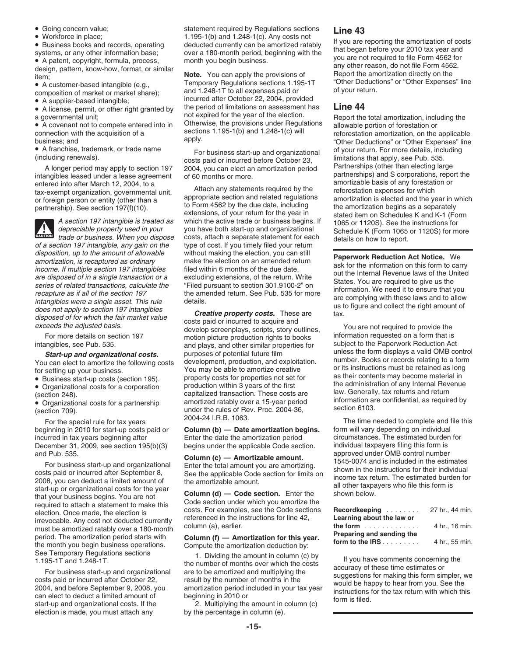- Going concern value;
- Workforce in place;

A supplier-based intangible;

• A franchise, trademark, or trade name

intangibles leased under a lease agreement of 60 months or more.<br>
entered into after March 12, 2004, to a new amortizable basis of any forestation or entered into after March 12, 2004, to a<br>Attach any statements required by the enterpresentation expenses for which<br>tax-exempt organization opvernmental unit tax-exempt organization, governmental unit, Attach any statements required by the reformance of forestation expenses or optic (other than expenses for appropriate section and related regulations



disposition, up to the amount of allowable<br>
intorization, is recaptured as ordinary<br>
income. If multiple section 197 intangibles<br>
income. If multiple section 197 intangibles<br>
income. If multiple section 197 intangibles<br>
se

You can elect to amortize the following costs development, production, and exploitation. Thurnber. Books or records relating to a form You may be able to amortize creative or its instructions must be retained as long

beginning in 2010 for start-up costs paid or **Column (b) — Date amortization begins.** form will vary depending on individual incurred in tax years beginning after Enter the date the amortization period circumstances. The estimated burder<br>December 31, 2009, see section 195(b)(3) begins under the applicable Code section. Individual taxpayers filin December 31, 2009, see section  $195(b)(3)$  begins under the applicable Code section.

and Pub. 535.<br>
For business start-up and organizational<br>
For business start-up and organizational<br>
Column (c) — Amortizable amount.<br>
Column (c) — amortizable Code section for limits on<br>
2008, you can deduct a limited amou

election is made, you must attach any by the percentage in column (e).

statement required by Regulations sections **Line 43**<br>1.195-1(b) and 1.248-1(c). Any costs not

A customer-based intangible (e.g.,<br>
• A customer-based intangible (e.g.,<br>
composition of market or market share); incurred after October 22, 2004, provided<br>
• A supplier-based intangible incurred after October 22, 2004, p • A license, permit, or other right granted by the period of limitations on assessment has **Line 44** a governmental unit; a motion of expired for the year of the election. <br>■ Report the total amortization, including the ■ Report the total amortization, including the A covenant not to compete entered into in Otherwise, th

A longer period may apply to section 197 2004, you can elect an amortization period Partnerships (other than electing large 2004, you can elect an amortization period Partnerships and S corporations, report the 2004, you c

A section 197(f)(10).<br>
A section 197 intangible is treated as<br>
depreciable property used in your<br>
trade or business. When you dispose costs, attach a separate statement for each<br>
dependence or business. When you dispose co details trade or business. When you dispose costs, attach a separate statement for each details on how to report.<br>of a section 197 intangible, any gain on the type of cost. If you timely filed your return

For more details on section 197 motion picture production rights to books information requested on a form that is<br>intangibles, see Pub. 535. and plays. and other similar properties for subject to the Paperwork Reduction Ac for setting up your business.<br>Nou may be able to amortize creative or its instructions must be retained as long<br>Ruginees start up gosts (settian 195) property costs for properties not set for and as their contents may beco • Business start-up costs (section 195). The property costs for properties not set for an as their contents may become material in exercicle in a business start-up costs (section 195). The production within 3 years of the • Organizational costs for a corporation  $\qquad$  production within 3 years of the first which administration of any internal Revenue  $\qquad$  capitalized transaction. These costs are law. Generally, tax returns and return section 248).<br>• Organizational costs for a partnership amortized ratably over a 15-year period information are confidential, as required by • Organizational costs for a partnership amortized ratably over a 15-year period information are confidential, as required by  $\frac{1}{100}$  and  $\frac{1}{100}$  and  $\frac{1}{100}$  and  $\frac{1}{100}$  and  $\frac{1}{100}$  and  $\frac{1}{100}$  and (section 709).<br>
For the appeial rule for tex upons<br>
Section 709).<br>
Section 709).<br>
Section 709, section 709, section for the rules of Rev. Proc. 2004-36, section 709, section 709, section 709, section 709, section 709, sect

Workforce in place; 1.195-1, 1.195-1(b) and 1.248-1(c). Any coste fractably if you are reporting the amortization of costs in place; 1.248-1(c). Any costs of the amortization of costs in place; the amortization base; in th systems, or any other information base;<br>• A patent, copyright, formula, process, month you begin business.<br>• A patent, copyright, formula, process, month you begin business.<br>• any other reason, do not file Form 4562 for<br>an • A patent, copyright, formula, process, month you begin business.<br>
design, pattern, know-how, format, or similar and the provisions of any other reason, do not file Form 4562.<br>
item; Report the amortization directly on th

connection with the acquisition of a<br>business; and apply. and 1.248-1(c) will the scription of a<br>business; and apply. A franchise, trademark, or trade name<br>
For business start-up and organizational of your return. For more details, including<br>
Costs paid or incurred before October 23, limitations that apply, see Pub. 535.<br>
A longer period or foreign person or entity (other than a appropriate section and related regulations amortization is elected and the year in which<br>nartnership) See section 197(f)(10) to Form 4562 by the due date, including the amortizati

ingibles, see Pub. 535. **Analyse Analyse And plays, and other similar properties for** the Paperwork Reduction Act<br>**Start-up and organizational costs.** Purposes of potential future film and exploitation. The unless the form

For the special rule for tax years  $2004-24$  I.R.B. 1003. The time needed to complete and file this

| Recordkeeping             | 27 hr., 44 min. |
|---------------------------|-----------------|
| Learning about the law or |                 |
| the form $\dots$          | 4 hr., 16 min.  |
| Preparing and sending the |                 |
| form to the IRS.          | 4 hr., 55 min.  |

See Temporary Regulations sections<br>
1. Dividing the amount in column (c) by<br>
the number of months over which the costs<br>
For business start-up and organizational<br>
costs paid or incurred after October 22,<br>
2004, and before S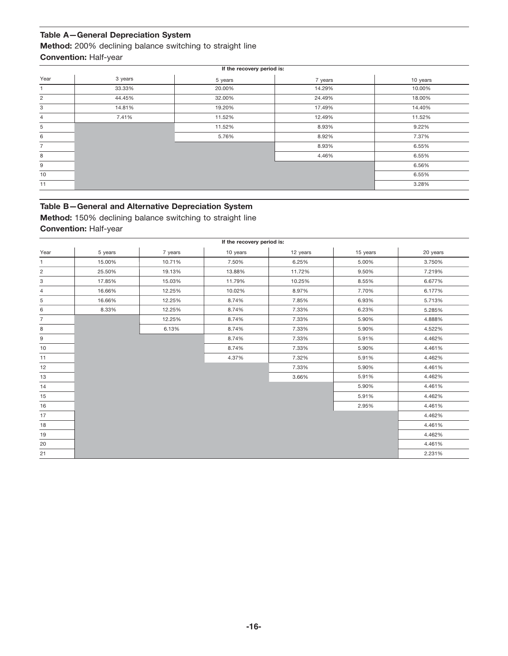## **Table A—General Depreciation System**

**Method:** 200% declining balance switching to straight line **Convention:** Half-year

|                |         | If the recovery period is: |         |          |
|----------------|---------|----------------------------|---------|----------|
| Year           | 3 years | 5 years                    | 7 years | 10 years |
| 1              | 33.33%  | 20.00%                     | 14.29%  | 10.00%   |
| $\overline{c}$ | 44.45%  | 32.00%                     | 24.49%  | 18.00%   |
| 3              | 14.81%  | 19.20%                     | 17.49%  | 14.40%   |
| $\overline{4}$ | 7.41%   | 11.52%                     | 12.49%  | 11.52%   |
| 5              |         | 11.52%                     | 8.93%   | 9.22%    |
| 6              |         | 5.76%                      | 8.92%   | 7.37%    |
| $\overline{7}$ |         |                            | 8.93%   | 6.55%    |
| 8              |         |                            | 4.46%   | 6.55%    |
| 9              |         |                            |         | 6.56%    |
| 10             |         |                            |         | 6.55%    |
| 11             |         |                            |         | 3.28%    |
|                |         |                            |         |          |

## **Table B—General and Alternative Depreciation System**

**Convention:** Half-year **Method:** 150% declining balance switching to straight line

|                |         |         | If the recovery period is: |          |          |          |
|----------------|---------|---------|----------------------------|----------|----------|----------|
| Year           | 5 years | 7 years | 10 years                   | 12 years | 15 years | 20 years |
| 1              | 15.00%  | 10.71%  | 7.50%                      | 6.25%    | 5.00%    | 3.750%   |
| $\overline{c}$ | 25.50%  | 19.13%  | 13.88%                     | 11.72%   | 9.50%    | 7.219%   |
| 3              | 17.85%  | 15.03%  | 11.79%                     | 10.25%   | 8.55%    | 6.677%   |
| 4              | 16.66%  | 12.25%  | 10.02%                     | 8.97%    | 7.70%    | 6.177%   |
| 5              | 16.66%  | 12.25%  | 8.74%                      | 7.85%    | 6.93%    | 5.713%   |
| 6              | 8.33%   | 12.25%  | 8.74%                      | 7.33%    | 6.23%    | 5.285%   |
| $\overline{7}$ |         | 12.25%  | 8.74%                      | 7.33%    | 5.90%    | 4.888%   |
| 8              |         | 6.13%   | 8.74%                      | 7.33%    | 5.90%    | 4.522%   |
| 9              |         |         | 8.74%                      | 7.33%    | 5.91%    | 4.462%   |
| 10             |         |         | 8.74%                      | 7.33%    | 5.90%    | 4.461%   |
| 11             |         |         | 4.37%                      | 7.32%    | 5.91%    | 4.462%   |
| 12             |         |         |                            | 7.33%    | 5.90%    | 4.461%   |
| 13             |         |         |                            | 3.66%    | 5.91%    | 4.462%   |
| 14             |         |         |                            |          | 5.90%    | 4.461%   |
| 15             |         |         |                            |          | 5.91%    | 4.462%   |
| 16             |         |         |                            |          | 2.95%    | 4.461%   |
| 17             |         |         |                            |          |          | 4.462%   |
| 18             |         |         |                            |          |          | 4.461%   |
| 19             |         |         |                            |          |          | 4.462%   |
| 20             |         |         |                            |          |          | 4.461%   |
| 21             |         |         |                            |          |          | 2.231%   |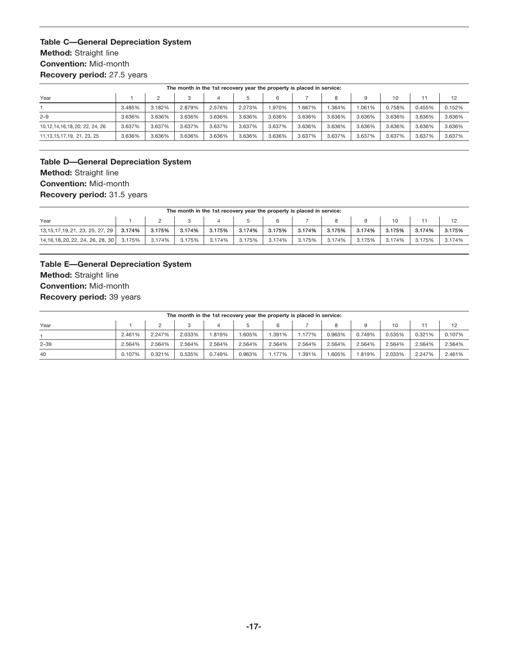## **Table C—General Depreciation System Recovery period:** 27.5 years **Convention:** Mid-month **Method:** Straight line

|                                | The month in the 1st recovery year the property is placed in service: |        |        |        |        |        |        |        |        |        |        |        |
|--------------------------------|-----------------------------------------------------------------------|--------|--------|--------|--------|--------|--------|--------|--------|--------|--------|--------|
| Year                           |                                                                       |        | 3      | 4      |        | 6      |        | 8      |        | 10     |        | 12     |
|                                | 3.485%                                                                | 3.182% | 2.879% | 2.576% | 2.273% | .970%  | .667%  | .364%  | .061%  | 0.758% | 0.455% | 0.152% |
| $2 - 9$                        | 3.636%                                                                | 3.636% | 3.636% | 3.636% | 3.636% | 3.636% | 3.636% | 3.636% | 3.636% | 3.636% | 3.636% | 3.636% |
| 10,12,14,16,18,20, 22, 24, 26  | 3.637%                                                                | 3.637% | 3.637% | 3.637% | 3.637% | 3.637% | 3.636% | 3.636% | 3.636% | 3.636% | 3.636% | 3.636% |
| 11, 13, 15, 17, 19, 21, 23, 25 | 3.636%                                                                | 3.636% | 3.636% | 3.636% | 3.636% | 3.636% | 3.637% | 3.637% | 3.637% | 3.637% | 3.637% | 3.637% |

**Table D—General Depreciation System Recovery period:** 31.5 years **Convention:** Mid-month **Method:** Straight line

|                                    |        |        | The month in the 1st recovery year the property is placed in service: |        |        |        |        |        |        |        |        |        |
|------------------------------------|--------|--------|-----------------------------------------------------------------------|--------|--------|--------|--------|--------|--------|--------|--------|--------|
| Year                               |        |        |                                                                       |        |        |        |        |        |        |        |        |        |
| 13, 15, 17, 19, 21, 23, 25, 27, 29 | 3.174% | 3.175% | 3.174%                                                                | 3.175% | 3.174% | 3.175% | 3.174% | 3.175% | 3.174% | 3.175% | 3.174% | 3.175% |
| 14, 16, 18, 20, 22, 24, 26, 28, 30 | 3.175% | 3.174% | 3.175%                                                                | 3.174% | 3.175% | 3.174% | 3.175% | 3.174% | 3.175% | 3.174% | 3.175% | 3.174% |

**Table E—General Depreciation System Recovery period:** 39 years **Convention:** Mid-month **Method:** Straight line

|          |        |        |        |        | The month in the 1st recovery year the property is placed in service: |        |        |        |        |        |        |        |
|----------|--------|--------|--------|--------|-----------------------------------------------------------------------|--------|--------|--------|--------|--------|--------|--------|
| Year     |        |        |        |        |                                                                       |        |        | 8      |        | 10     |        | 12     |
|          | 2.461% | 2.247% | 2.033% | 1.819% | .605%                                                                 | .391%  | .177%  | 0.963% | 0.749% | 0.535% | 0.321% | 0.107% |
| $2 - 39$ | 2.564% | 2.564% | 2.564% | 2.564% | 2.564%                                                                | 2.564% | 2.564% | 2.564% | 2.564% | 2.564% | 2.564% | 2.564% |
| 40       | 0.107% | 0.321% | 0.535% | 0.749% | 0.963%                                                                | .177%  | .391%  | .605%  | .819%  | 2.033% | 2.247% | 2.461% |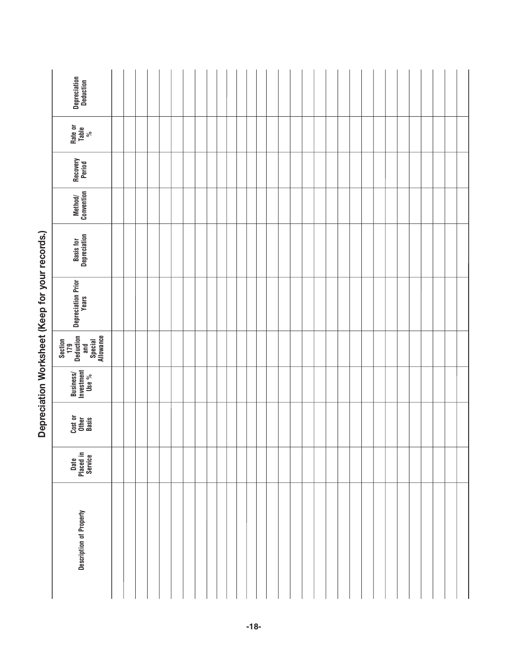| Description of Property | Date<br>Placed in<br>Service | Cost or<br>Other<br>Basis | Business/<br>Investment<br>Use % | Section<br>179<br>Deduction<br>and<br>Allowance<br>Special | <b>Depreciation Prior</b><br>Years | Basis for<br>Depreciation | Method/<br>Convention | Recovery<br>Period | Rate or<br>Table<br>% | <b>Depreciation</b><br>Deduction |
|-------------------------|------------------------------|---------------------------|----------------------------------|------------------------------------------------------------|------------------------------------|---------------------------|-----------------------|--------------------|-----------------------|----------------------------------|
|                         |                              |                           |                                  |                                                            |                                    |                           |                       |                    |                       |                                  |
|                         |                              |                           |                                  |                                                            |                                    |                           |                       |                    |                       |                                  |
|                         |                              |                           |                                  |                                                            |                                    |                           |                       |                    |                       |                                  |
|                         |                              |                           |                                  |                                                            |                                    |                           |                       |                    |                       |                                  |
|                         |                              |                           |                                  |                                                            |                                    |                           |                       |                    |                       |                                  |
|                         |                              |                           |                                  |                                                            |                                    |                           |                       |                    |                       |                                  |
|                         |                              |                           |                                  |                                                            |                                    |                           |                       |                    |                       |                                  |
|                         |                              |                           |                                  |                                                            |                                    |                           |                       |                    |                       |                                  |
|                         |                              |                           |                                  |                                                            |                                    |                           |                       |                    |                       |                                  |
|                         |                              |                           |                                  |                                                            |                                    |                           |                       |                    |                       |                                  |
|                         |                              |                           |                                  |                                                            |                                    |                           |                       |                    |                       |                                  |
|                         |                              |                           |                                  |                                                            |                                    |                           |                       |                    |                       |                                  |
|                         |                              |                           |                                  |                                                            |                                    |                           |                       |                    |                       |                                  |
|                         |                              |                           |                                  |                                                            |                                    |                           |                       |                    |                       |                                  |
|                         |                              |                           |                                  |                                                            |                                    |                           |                       |                    |                       |                                  |
|                         |                              |                           |                                  |                                                            |                                    |                           |                       |                    |                       |                                  |
|                         |                              |                           |                                  |                                                            |                                    |                           |                       |                    |                       |                                  |
|                         |                              |                           |                                  |                                                            |                                    |                           |                       |                    |                       |                                  |
|                         |                              |                           |                                  |                                                            |                                    |                           |                       |                    |                       |                                  |
|                         |                              |                           |                                  |                                                            |                                    |                           |                       |                    |                       |                                  |
|                         |                              |                           |                                  |                                                            |                                    |                           |                       |                    |                       |                                  |
|                         |                              |                           |                                  |                                                            |                                    |                           |                       |                    |                       |                                  |
|                         |                              |                           |                                  |                                                            |                                    |                           |                       |                    |                       |                                  |
|                         |                              |                           |                                  |                                                            |                                    |                           |                       |                    |                       |                                  |
|                         |                              |                           |                                  |                                                            |                                    |                           |                       |                    |                       |                                  |
|                         |                              |                           |                                  |                                                            |                                    |                           |                       |                    |                       |                                  |
|                         |                              |                           |                                  |                                                            |                                    |                           |                       |                    |                       |                                  |
|                         |                              |                           |                                  |                                                            |                                    |                           |                       |                    |                       |                                  |
|                         |                              |                           |                                  |                                                            |                                    |                           |                       |                    |                       |                                  |

Depreciation Worksheet (Keep for your records.) **Depreciation Worksheet (Keep for your records.)**